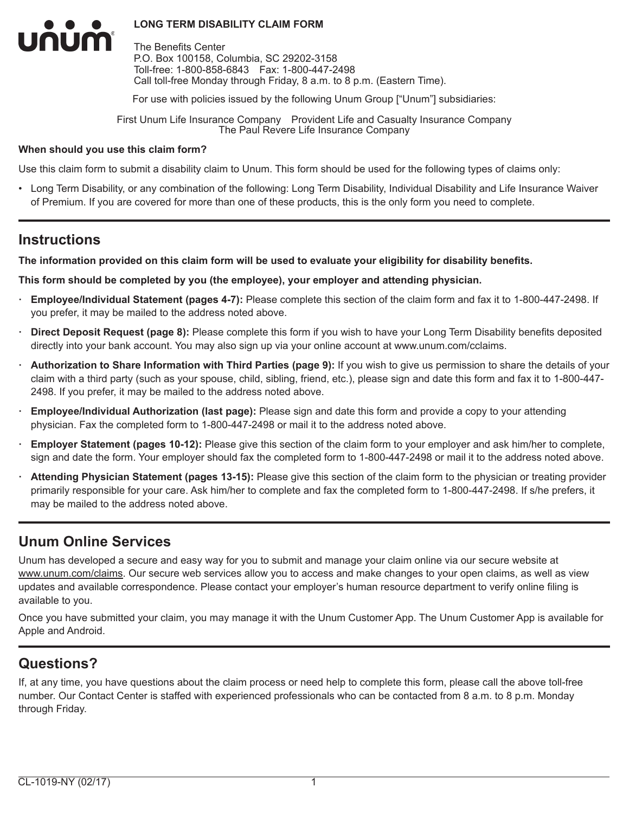The Benefits Center P.O. Box 100158, Columbia, SC 29202-3158 Toll-free: 1-800-858-6843 Fax: 1-800-447-2498 Call toll-free Monday through Friday, 8 a.m. to 8 p.m. (Eastern Time).

For use with policies issued by the following Unum Group ["Unum"] subsidiaries:

First Unum Life Insurance Company Provident Life and Casualty Insurance Company The Paul Revere Life Insurance Company

#### **When should you use this claim form?**

Use this claim form to submit a disability claim to Unum. This form should be used for the following types of claims only:

• Long Term Disability, or any combination of the following: Long Term Disability, Individual Disability and Life Insurance Waiver of Premium. If you are covered for more than one of these products, this is the only form you need to complete.

# **Instructions**

num

**The information provided on this claim form will be used to evaluate your eligibility for disability benefits.**

**This form should be completed by you (the employee), your employer and attending physician.**

- **· Employee/Individual Statement (pages 4-7):** Please complete this section of the claim form and fax it to 1-800-447-2498. If you prefer, it may be mailed to the address noted above.
- **· Direct Deposit Request (page 8):** Please complete this form if you wish to have your Long Term Disability benefits deposited directly into your bank account. You may also sign up via your online account at www.unum.com/cclaims.
- **· Authorization to Share Information with Third Parties (page 9):** If you wish to give us permission to share the details of your claim with a third party (such as your spouse, child, sibling, friend, etc.), please sign and date this form and fax it to 1-800-447- 2498. If you prefer, it may be mailed to the address noted above.
- **· Employee/Individual Authorization (last page):** Please sign and date this form and provide a copy to your attending physician. Fax the completed form to 1-800-447-2498 or mail it to the address noted above.
- **· Employer Statement (pages 10-12):** Please give this section of the claim form to your employer and ask him/her to complete, sign and date the form. Your employer should fax the completed form to 1-800-447-2498 or mail it to the address noted above.
- **· Attending Physician Statement (pages 13-15):** Please give this section of the claim form to the physician or treating provider primarily responsible for your care. Ask him/her to complete and fax the completed form to 1-800-447-2498. If s/he prefers, it may be mailed to the address noted above.

# **Unum Online Services**

Unum has developed a secure and easy way for you to submit and manage your claim online via our secure website at www.unum.com/claims. Our secure web services allow you to access and make changes to your open claims, as well as view updates and available correspondence. Please contact your employer's human resource department to verify online filing is available to you.

Once you have submitted your claim, you may manage it with the Unum Customer App. The Unum Customer App is available for Apple and Android.

# **Questions?**

If, at any time, you have questions about the claim process or need help to complete this form, please call the above toll-free number. Our Contact Center is staffed with experienced professionals who can be contacted from 8 a.m. to 8 p.m. Monday through Friday.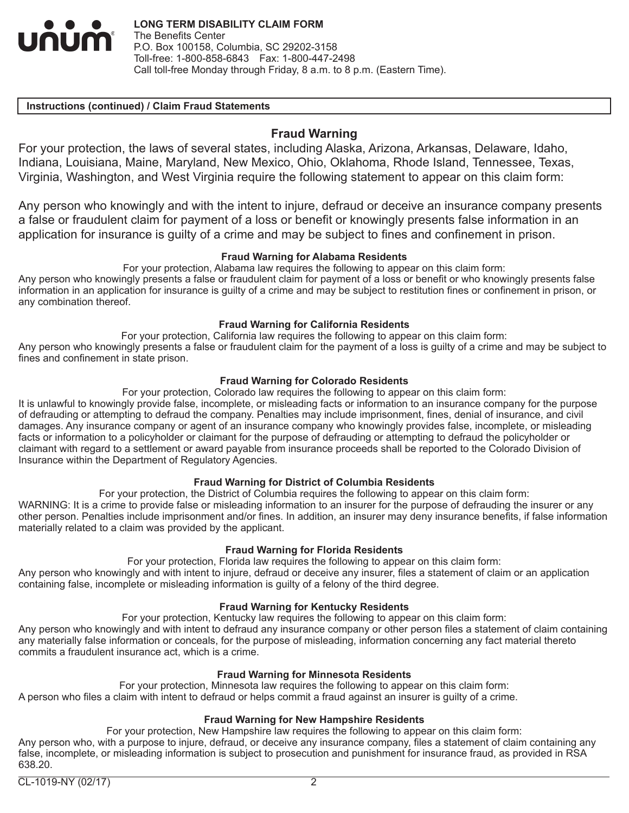

#### **Instructions (continued) / Claim Fraud Statements**

# **Fraud Warning**

For your protection, the laws of several states, including Alaska, Arizona, Arkansas, Delaware, Idaho, Indiana, Louisiana, Maine, Maryland, New Mexico, Ohio, Oklahoma, Rhode Island, Tennessee, Texas, Virginia, Washington, and West Virginia require the following statement to appear on this claim form:

Any person who knowingly and with the intent to injure, defraud or deceive an insurance company presents a false or fraudulent claim for payment of a loss or benefit or knowingly presents false information in an application for insurance is guilty of a crime and may be subject to fines and confinement in prison.

## **Fraud Warning for Alabama Residents**

For your protection, Alabama law requires the following to appear on this claim form:

Any person who knowingly presents a false or fraudulent claim for payment of a loss or benefit or who knowingly presents false information in an application for insurance is guilty of a crime and may be subject to restitution fines or confinement in prison, or any combination thereof.

## **Fraud Warning for California Residents**

For your protection, California law requires the following to appear on this claim form:

Any person who knowingly presents a false or fraudulent claim for the payment of a loss is guilty of a crime and may be subject to fines and confinement in state prison.

# **Fraud Warning for Colorado Residents**

For your protection, Colorado law requires the following to appear on this claim form:

It is unlawful to knowingly provide false, incomplete, or misleading facts or information to an insurance company for the purpose of defrauding or attempting to defraud the company. Penalties may include imprisonment, fines, denial of insurance, and civil damages. Any insurance company or agent of an insurance company who knowingly provides false, incomplete, or misleading facts or information to a policyholder or claimant for the purpose of defrauding or attempting to defraud the policyholder or claimant with regard to a settlement or award payable from insurance proceeds shall be reported to the Colorado Division of Insurance within the Department of Regulatory Agencies.

#### **Fraud Warning for District of Columbia Residents**

For your protection, the District of Columbia requires the following to appear on this claim form:

WARNING: It is a crime to provide false or misleading information to an insurer for the purpose of defrauding the insurer or any other person. Penalties include imprisonment and/or fines. In addition, an insurer may deny insurance benefits, if false information materially related to a claim was provided by the applicant.

#### **Fraud Warning for Florida Residents**

For your protection, Florida law requires the following to appear on this claim form:

Any person who knowingly and with intent to injure, defraud or deceive any insurer, files a statement of claim or an application containing false, incomplete or misleading information is guilty of a felony of the third degree.

#### **Fraud Warning for Kentucky Residents**

For your protection, Kentucky law requires the following to appear on this claim form:

Any person who knowingly and with intent to defraud any insurance company or other person files a statement of claim containing any materially false information or conceals, for the purpose of misleading, information concerning any fact material thereto commits a fraudulent insurance act, which is a crime.

# **Fraud Warning for Minnesota Residents**

For your protection, Minnesota law requires the following to appear on this claim form: A person who files a claim with intent to defraud or helps commit a fraud against an insurer is guilty of a crime.

# **Fraud Warning for New Hampshire Residents**

For your protection, New Hampshire law requires the following to appear on this claim form: Any person who, with a purpose to injure, defraud, or deceive any insurance company, files a statement of claim containing any false, incomplete, or misleading information is subject to prosecution and punishment for insurance fraud, as provided in RSA 638.20.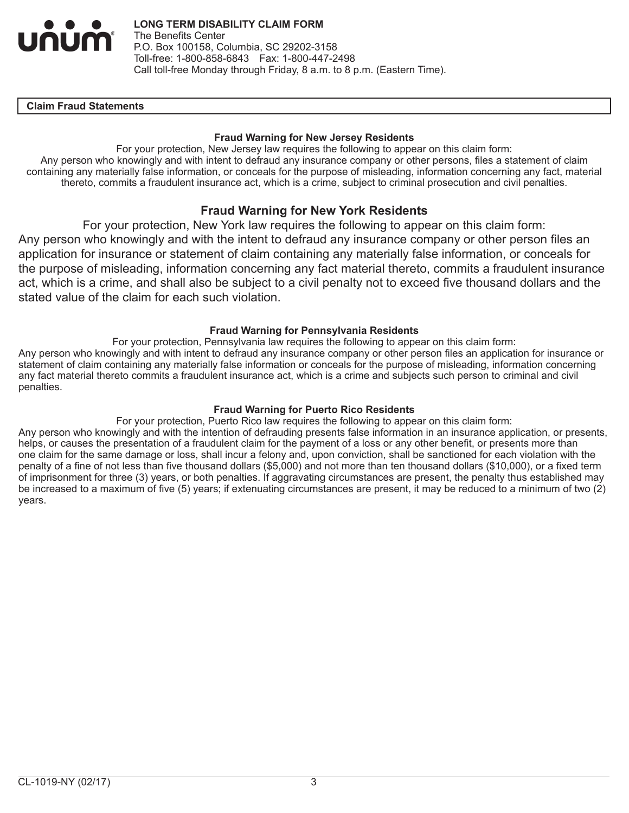

#### **IClaim Fraud Statements**

#### **Fraud Warning for New Jersey Residents**

For your protection, New Jersey law requires the following to appear on this claim form: Any person who knowingly and with intent to defraud any insurance company or other persons, files a statement of claim containing any materially false information, or conceals for the purpose of misleading, information concerning any fact, material thereto, commits a fraudulent insurance act, which is a crime, subject to criminal prosecution and civil penalties.

# **Fraud Warning for New York Residents**

For your protection, New York law requires the following to appear on this claim form: Any person who knowingly and with the intent to defraud any insurance company or other person files an application for insurance or statement of claim containing any materially false information, or conceals for the purpose of misleading, information concerning any fact material thereto, commits a fraudulent insurance act, which is a crime, and shall also be subject to a civil penalty not to exceed five thousand dollars and the stated value of the claim for each such violation.

## **Fraud Warning for Pennsylvania Residents**

For your protection, Pennsylvania law requires the following to appear on this claim form: Any person who knowingly and with intent to defraud any insurance company or other person files an application for insurance or statement of claim containing any materially false information or conceals for the purpose of misleading, information concerning any fact material thereto commits a fraudulent insurance act, which is a crime and subjects such person to criminal and civil penalties.

#### **Fraud Warning for Puerto Rico Residents**

For your protection, Puerto Rico law requires the following to appear on this claim form: Any person who knowingly and with the intention of defrauding presents false information in an insurance application, or presents, helps, or causes the presentation of a fraudulent claim for the payment of a loss or any other benefit, or presents more than one claim for the same damage or loss, shall incur a felony and, upon conviction, shall be sanctioned for each violation with the penalty of a fine of not less than five thousand dollars (\$5,000) and not more than ten thousand dollars (\$10,000), or a fixed term of imprisonment for three (3) years, or both penalties. If aggravating circumstances are present, the penalty thus established may be increased to a maximum of five (5) years; if extenuating circumstances are present, it may be reduced to a minimum of two (2) years.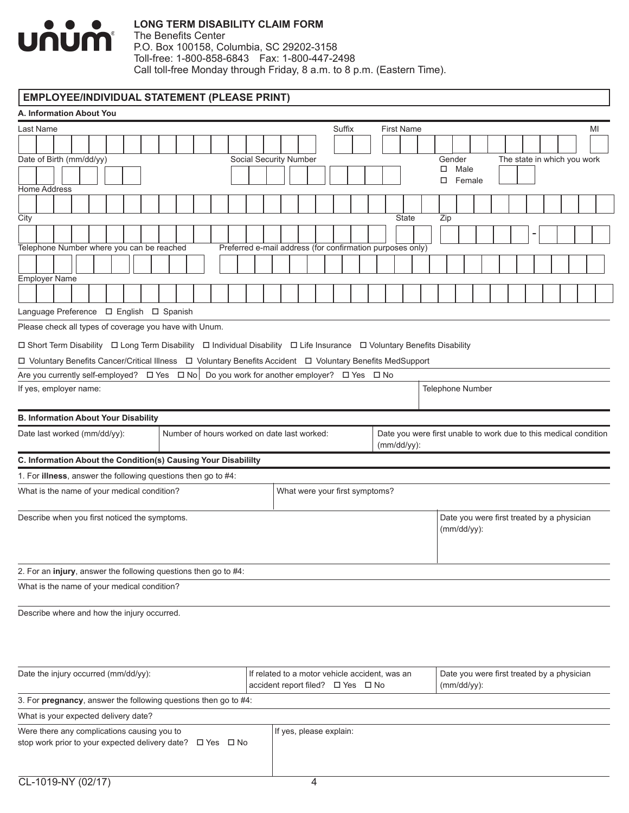

The Benefits Center P.O. Box 100158, Columbia, SC 29202-3158 Toll-free: 1-800-858-6843 Fax: 1-800-447-2498 Call toll-free Monday through Friday, 8 a.m. to 8 p.m. (Eastern Time).

# **EMPLOYEE/INDIVIDUAL STATEMENT (PLEASE PRINT)**

| A. Information About You                                                                                                |                                                                                     |                   |                                                                  |
|-------------------------------------------------------------------------------------------------------------------------|-------------------------------------------------------------------------------------|-------------------|------------------------------------------------------------------|
| Last Name                                                                                                               | Suffix                                                                              | <b>First Name</b> | MI                                                               |
|                                                                                                                         |                                                                                     |                   |                                                                  |
| Date of Birth (mm/dd/yy)                                                                                                | Social Security Number                                                              |                   | The state in which you work<br>Gender                            |
|                                                                                                                         |                                                                                     |                   | Male<br>□<br>Female<br>□                                         |
| Home Address                                                                                                            |                                                                                     |                   |                                                                  |
| City                                                                                                                    |                                                                                     | <b>State</b>      | Zip                                                              |
|                                                                                                                         | Preferred e-mail address (for confirmation purposes only)                           |                   |                                                                  |
| Telephone Number where you can be reached                                                                               |                                                                                     |                   |                                                                  |
| <b>Employer Name</b>                                                                                                    |                                                                                     |                   |                                                                  |
|                                                                                                                         |                                                                                     |                   |                                                                  |
| Language Preference □ English □ Spanish                                                                                 |                                                                                     |                   |                                                                  |
| Please check all types of coverage you have with Unum.                                                                  |                                                                                     |                   |                                                                  |
| □ Short Term Disability □ Long Term Disability □ Individual Disability □ Life Insurance □ Voluntary Benefits Disability |                                                                                     |                   |                                                                  |
| □ Voluntary Benefits Cancer/Critical Illness □ Voluntary Benefits Accident □ Voluntary Benefits MedSupport              |                                                                                     |                   |                                                                  |
| Are you currently self-employed? $\Box$ Yes $\Box$ No $\Box$ Do you work for another employer? $\Box$ Yes $\Box$ No     |                                                                                     |                   |                                                                  |
| If yes, employer name:                                                                                                  |                                                                                     |                   | Telephone Number                                                 |
| <b>B. Information About Your Disability</b>                                                                             |                                                                                     |                   |                                                                  |
| Date last worked (mm/dd/yy):<br>Number of hours worked on date last worked:                                             |                                                                                     | (mm/dd/yy):       | Date you were first unable to work due to this medical condition |
| C. Information About the Condition(s) Causing Your Disabililty                                                          |                                                                                     |                   |                                                                  |
| 1. For illness, answer the following questions then go to #4:                                                           |                                                                                     |                   |                                                                  |
| What is the name of your medical condition?                                                                             | What were your first symptoms?                                                      |                   |                                                                  |
| Describe when you first noticed the symptoms.                                                                           |                                                                                     |                   | Date you were first treated by a physician<br>$(mm/dd/yy)$ :     |
| 2. For an injury, answer the following questions then go to #4:                                                         |                                                                                     |                   |                                                                  |
| What is the name of your medical condition?                                                                             |                                                                                     |                   |                                                                  |
| Describe where and how the injury occurred.                                                                             |                                                                                     |                   |                                                                  |
| Date the injury occurred (mm/dd/yy):                                                                                    | If related to a motor vehicle accident, was an<br>accident report filed? □ Yes □ No |                   | Date you were first treated by a physician<br>$(mm/dd/yy)$ :     |
| 3. For pregnancy, answer the following questions then go to #4:                                                         |                                                                                     |                   |                                                                  |
| What is your expected delivery date?                                                                                    |                                                                                     |                   |                                                                  |
| Were there any complications causing you to<br>stop work prior to your expected delivery date? □ Yes □ No               | If yes, please explain:                                                             |                   |                                                                  |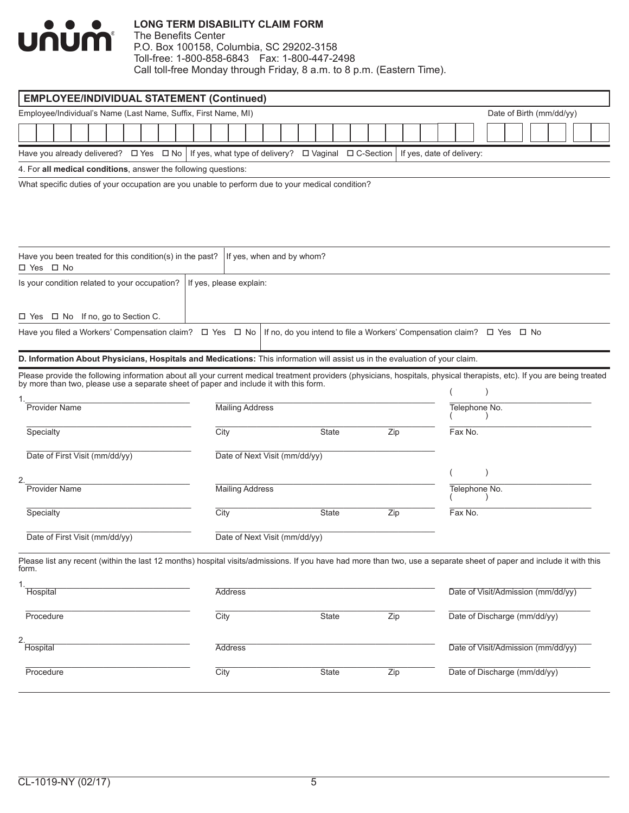

| <b>EMPLOYEE/INDIVIDUAL STATEMENT (Continued)</b>                                                                                                                                                                               |                         |                               |              |                                                                        |                           |               |                                    |                          |  |  |
|--------------------------------------------------------------------------------------------------------------------------------------------------------------------------------------------------------------------------------|-------------------------|-------------------------------|--------------|------------------------------------------------------------------------|---------------------------|---------------|------------------------------------|--------------------------|--|--|
| Employee/Individual's Name (Last Name, Suffix, First Name, MI)                                                                                                                                                                 |                         |                               |              |                                                                        |                           |               |                                    | Date of Birth (mm/dd/yy) |  |  |
|                                                                                                                                                                                                                                |                         |                               |              |                                                                        |                           |               |                                    |                          |  |  |
| Have you already delivered? $\Box$ Yes $\Box$ No   If yes, what type of delivery? $\Box$ Vaginal                                                                                                                               |                         |                               |              | □ C-Section                                                            | If yes, date of delivery: |               |                                    |                          |  |  |
| 4. For all medical conditions, answer the following questions:                                                                                                                                                                 |                         |                               |              |                                                                        |                           |               |                                    |                          |  |  |
| What specific duties of your occupation are you unable to perform due to your medical condition?                                                                                                                               |                         |                               |              |                                                                        |                           |               |                                    |                          |  |  |
|                                                                                                                                                                                                                                |                         |                               |              |                                                                        |                           |               |                                    |                          |  |  |
| Have you been treated for this condition(s) in the past?<br>□ Yes □ No                                                                                                                                                         |                         | If yes, when and by whom?     |              |                                                                        |                           |               |                                    |                          |  |  |
| Is your condition related to your occupation?                                                                                                                                                                                  | If yes, please explain: |                               |              |                                                                        |                           |               |                                    |                          |  |  |
| $\Box$ Yes $\Box$ No If no, go to Section C.                                                                                                                                                                                   |                         |                               |              |                                                                        |                           |               |                                    |                          |  |  |
| Have you filed a Workers' Compensation claim? $\Box$ Yes $\Box$ No                                                                                                                                                             |                         |                               |              | If no, do you intend to file a Workers' Compensation claim? □ Yes □ No |                           |               |                                    |                          |  |  |
| D. Information About Physicians, Hospitals and Medications: This information will assist us in the evaluation of your claim.                                                                                                   |                         |                               |              |                                                                        |                           |               |                                    |                          |  |  |
| Please provide the following information about all your current medical treatment providers (physicians, hospitals, physical therapists, etc). If you are being treated by more than two, please use a separate sheet of paper |                         |                               |              |                                                                        |                           |               |                                    |                          |  |  |
| <b>Provider Name</b>                                                                                                                                                                                                           | <b>Mailing Address</b>  |                               |              |                                                                        |                           | Telephone No. |                                    |                          |  |  |
| Specialty                                                                                                                                                                                                                      | City                    |                               | State        | Zip                                                                    |                           | Fax No.       |                                    |                          |  |  |
| Date of First Visit (mm/dd/yy)                                                                                                                                                                                                 |                         | Date of Next Visit (mm/dd/yy) |              |                                                                        |                           |               |                                    |                          |  |  |
| 2.                                                                                                                                                                                                                             |                         |                               |              |                                                                        |                           |               |                                    |                          |  |  |
| <b>Provider Name</b>                                                                                                                                                                                                           | <b>Mailing Address</b>  |                               |              |                                                                        |                           | Telephone No. |                                    |                          |  |  |
| Specialty                                                                                                                                                                                                                      | City                    |                               | <b>State</b> | Zip                                                                    |                           | Fax No.       |                                    |                          |  |  |
| Date of First Visit (mm/dd/yy)                                                                                                                                                                                                 |                         | Date of Next Visit (mm/dd/yy) |              |                                                                        |                           |               |                                    |                          |  |  |
| Please list any recent (within the last 12 months) hospital visits/admissions. If you have had more than two, use a separate sheet of paper and include it with this<br>form.                                                  |                         |                               |              |                                                                        |                           |               |                                    |                          |  |  |
| 1.<br><b>Hospital</b>                                                                                                                                                                                                          | <b>Address</b>          |                               |              |                                                                        |                           |               | Date of Visit/Admission (mm/dd/yy) |                          |  |  |
| Procedure                                                                                                                                                                                                                      | City                    |                               | State        | Zip                                                                    |                           |               | Date of Discharge (mm/dd/yy)       |                          |  |  |
| 2.<br>Hospital                                                                                                                                                                                                                 | <b>Address</b>          |                               |              |                                                                        |                           |               | Date of Visit/Admission (mm/dd/yy) |                          |  |  |
| Procedure                                                                                                                                                                                                                      | City                    |                               | <b>State</b> | Zip                                                                    |                           |               | Date of Discharge (mm/dd/yy)       |                          |  |  |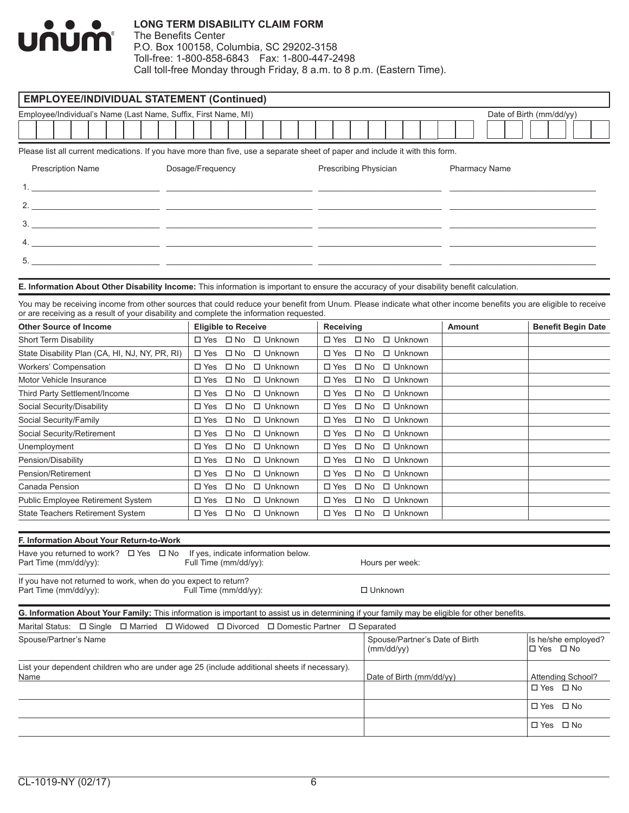

| <b>EMPLOYEE/INDIVIDUAL STATEMENT (Continued)</b>                                                                                                                                                                                                           |                                                                |                                  |                                |                              |                                              |                                  |  |                      |  |                          |                   |                           |
|------------------------------------------------------------------------------------------------------------------------------------------------------------------------------------------------------------------------------------------------------------|----------------------------------------------------------------|----------------------------------|--------------------------------|------------------------------|----------------------------------------------|----------------------------------|--|----------------------|--|--------------------------|-------------------|---------------------------|
| Employee/Individual's Name (Last Name, Suffix, First Name, MI)                                                                                                                                                                                             |                                                                |                                  |                                |                              |                                              |                                  |  |                      |  | Date of Birth (mm/dd/yy) |                   |                           |
|                                                                                                                                                                                                                                                            |                                                                |                                  |                                |                              |                                              |                                  |  |                      |  |                          |                   |                           |
| Please list all current medications. If you have more than five, use a separate sheet of paper and include it with this form.                                                                                                                              |                                                                |                                  |                                |                              |                                              |                                  |  |                      |  |                          |                   |                           |
|                                                                                                                                                                                                                                                            |                                                                |                                  |                                |                              |                                              |                                  |  |                      |  |                          |                   |                           |
| <b>Prescription Name</b>                                                                                                                                                                                                                                   | Dosage/Frequency                                               |                                  | Prescribing Physician          |                              |                                              |                                  |  | <b>Pharmacy Name</b> |  |                          |                   |                           |
|                                                                                                                                                                                                                                                            |                                                                |                                  |                                |                              |                                              |                                  |  |                      |  |                          |                   |                           |
|                                                                                                                                                                                                                                                            |                                                                |                                  |                                |                              |                                              |                                  |  |                      |  |                          |                   |                           |
|                                                                                                                                                                                                                                                            |                                                                |                                  |                                |                              |                                              |                                  |  |                      |  |                          |                   |                           |
|                                                                                                                                                                                                                                                            |                                                                |                                  |                                |                              |                                              |                                  |  |                      |  |                          |                   |                           |
|                                                                                                                                                                                                                                                            |                                                                |                                  |                                |                              |                                              |                                  |  |                      |  |                          |                   |                           |
|                                                                                                                                                                                                                                                            |                                                                |                                  |                                |                              |                                              |                                  |  |                      |  |                          |                   |                           |
| E. Information About Other Disability Income: This information is important to ensure the accuracy of your disability benefit calculation.                                                                                                                 |                                                                |                                  |                                |                              |                                              |                                  |  |                      |  |                          |                   |                           |
|                                                                                                                                                                                                                                                            |                                                                |                                  |                                |                              |                                              |                                  |  |                      |  |                          |                   |                           |
| You may be receiving income from other sources that could reduce your benefit from Unum. Please indicate what other income benefits you are eligible to receive<br>or are receiving as a result of your disability and complete the information requested. |                                                                |                                  |                                |                              |                                              |                                  |  |                      |  |                          |                   |                           |
| <b>Other Source of Income</b>                                                                                                                                                                                                                              | <b>Eligible to Receive</b>                                     |                                  | Receiving                      |                              |                                              |                                  |  | <b>Amount</b>        |  |                          |                   | <b>Benefit Begin Date</b> |
| <b>Short Term Disability</b>                                                                                                                                                                                                                               | □ Yes □ No □ Unknown                                           |                                  | □ Yes □ No □ Unknown           |                              |                                              |                                  |  |                      |  |                          |                   |                           |
| State Disability Plan (CA, HI, NJ, NY, PR, RI)                                                                                                                                                                                                             | $\Box$ Yes $\Box$ No                                           | $\Box$ Unknown                   | $\square$ Yes                  | $\square$ No                 |                                              | $\Box$ Unknown                   |  |                      |  |                          |                   |                           |
| Workers' Compensation                                                                                                                                                                                                                                      | □ Yes □ No                                                     | □ Unknown                        | $\square$ Yes                  |                              | □ No □ Unknown                               |                                  |  |                      |  |                          |                   |                           |
| Motor Vehicle Insurance                                                                                                                                                                                                                                    | $\square$ Yes<br>$\square$ No                                  | $\Box$ Unknown                   | $\square$ Yes                  | $\square$ No                 |                                              | $\Box$ Unknown                   |  |                      |  |                          |                   |                           |
| Third Party Settlement/Income                                                                                                                                                                                                                              | $\square$ Yes<br>$\square$ No                                  | $\Box$ Unknown                   | $\square$ Yes                  | $\square$ No                 |                                              | $\Box$ Unknown                   |  |                      |  |                          |                   |                           |
| Social Security/Disability                                                                                                                                                                                                                                 | □ Yes<br>$\square$ No                                          | □ Unknown                        | $\square$ Yes                  | $\square$ No                 |                                              | □ Unknown                        |  |                      |  |                          |                   |                           |
| Social Security/Family                                                                                                                                                                                                                                     | $\square$ Yes<br>$\square$ No                                  | $\Box$ Unknown                   | $\square$ Yes                  | $\square$ No                 |                                              | $\Box$ Unknown                   |  |                      |  |                          |                   |                           |
| Social Security/Retirement                                                                                                                                                                                                                                 | $\square$ Yes<br>$\square$ No                                  | $\Box$ Unknown                   | $\square$ Yes                  | $\square$ No                 |                                              | $\Box$ Unknown                   |  |                      |  |                          |                   |                           |
| Unemployment                                                                                                                                                                                                                                               | $\square$ Yes<br>$\square$ No                                  | $\Box$ Unknown                   | $\square$ Yes                  | $\square$ No                 |                                              | □ Unknown                        |  |                      |  |                          |                   |                           |
| Pension/Disability<br>Pension/Retirement                                                                                                                                                                                                                   | $\square$ Yes<br>$\square$ No<br>$\square$ Yes<br>$\square$ No | $\Box$ Unknown<br>$\Box$ Unknown | $\square$ Yes<br>$\square$ Yes | $\square$ No<br>$\square$ No |                                              | $\Box$ Unknown<br>$\Box$ Unknown |  |                      |  |                          |                   |                           |
| Canada Pension                                                                                                                                                                                                                                             | $\square$ Yes<br>$\square$ No                                  | $\Box$ Unknown                   | $\square$ Yes                  | $\square$ No                 |                                              | $\Box$ Unknown                   |  |                      |  |                          |                   |                           |
| Public Employee Retirement System                                                                                                                                                                                                                          | $\square$ Yes<br>$\square$ No                                  | $\Box$ Unknown                   | $\Box$ Yes                     | $\square$ No                 |                                              | $\Box$ Unknown                   |  |                      |  |                          |                   |                           |
| State Teachers Retirement System                                                                                                                                                                                                                           | $\square$ No<br>□ Yes                                          | □ Unknown                        | $\square$ Yes                  | $\square$ No                 |                                              | □ Unknown                        |  |                      |  |                          |                   |                           |
|                                                                                                                                                                                                                                                            |                                                                |                                  |                                |                              |                                              |                                  |  |                      |  |                          |                   |                           |
| F. Information About Your Return-to-Work                                                                                                                                                                                                                   |                                                                |                                  |                                |                              |                                              |                                  |  |                      |  |                          |                   |                           |
| Have you returned to work? $\Box$ Yes $\Box$ No If yes, indicate information below.<br>Part Time (mm/dd/yy):                                                                                                                                               | Full Time (mm/dd/yy):                                          |                                  |                                |                              | Hours per week:                              |                                  |  |                      |  |                          |                   |                           |
| If you have not returned to work, when do you expect to return?<br>Part Time (mm/dd/yy):                                                                                                                                                                   | Full Time (mm/dd/yy):                                          |                                  |                                |                              | □ Unknown                                    |                                  |  |                      |  |                          |                   |                           |
| G. Information About Your Family: This information is important to assist us in determining if your family may be eligible for other benefits.                                                                                                             |                                                                |                                  |                                |                              |                                              |                                  |  |                      |  |                          |                   |                           |
| Marital Status: $\Box$ Single $\Box$ Married $\Box$ Widowed $\Box$ Divorced                                                                                                                                                                                |                                                                | □ Domestic Partner               |                                | $\square$ Separated          |                                              |                                  |  |                      |  |                          |                   |                           |
| Spouse/Partner's Name                                                                                                                                                                                                                                      |                                                                |                                  |                                |                              | Spouse/Partner's Date of Birth<br>(mm/dd/yy) |                                  |  |                      |  |                          | □ Yes □ No        | Is he/she employed?       |
| List your dependent children who are under age 25 (include additional sheets if necessary).                                                                                                                                                                |                                                                |                                  |                                |                              |                                              |                                  |  |                      |  |                          |                   |                           |
| Name                                                                                                                                                                                                                                                       |                                                                |                                  |                                |                              | Date of Birth (mm/dd/yy)                     |                                  |  |                      |  |                          | Attending School? |                           |
|                                                                                                                                                                                                                                                            |                                                                |                                  |                                |                              |                                              |                                  |  |                      |  |                          | □ Yes □ No        |                           |
|                                                                                                                                                                                                                                                            |                                                                |                                  |                                |                              |                                              |                                  |  |                      |  |                          | □ Yes □ No        |                           |
|                                                                                                                                                                                                                                                            |                                                                |                                  |                                |                              |                                              |                                  |  |                      |  |                          | □ Yes □ No        |                           |
|                                                                                                                                                                                                                                                            |                                                                |                                  |                                |                              |                                              |                                  |  |                      |  |                          |                   |                           |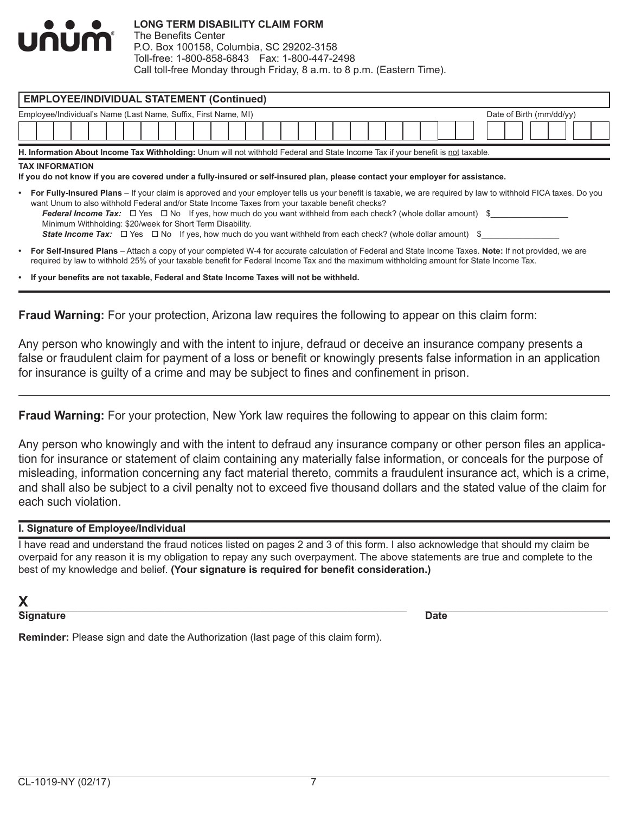

The Benefits Center P.O. Box 100158, Columbia, SC 29202-3158 Toll-free: 1-800-858-6843 Fax: 1-800-447-2498 Call toll-free Monday through Friday, 8 a.m. to 8 p.m. (Eastern Time).

|                                                                                                                                                          | <b>EMPLOYEE/INDIVIDUAL STATEMENT (Continued)</b><br>Employee/Individual's Name (Last Name, Suffix, First Name, MI)<br>Date of Birth (mm/dd/yy)                                                                                                                                                                                                                                                                                                                                                                                                                                                                         |                                                                                                                                         |  |  |  |  |  |  |  |  |  |  |  |  |  |  |  |  |  |  |  |  |
|----------------------------------------------------------------------------------------------------------------------------------------------------------|------------------------------------------------------------------------------------------------------------------------------------------------------------------------------------------------------------------------------------------------------------------------------------------------------------------------------------------------------------------------------------------------------------------------------------------------------------------------------------------------------------------------------------------------------------------------------------------------------------------------|-----------------------------------------------------------------------------------------------------------------------------------------|--|--|--|--|--|--|--|--|--|--|--|--|--|--|--|--|--|--|--|--|
|                                                                                                                                                          |                                                                                                                                                                                                                                                                                                                                                                                                                                                                                                                                                                                                                        |                                                                                                                                         |  |  |  |  |  |  |  |  |  |  |  |  |  |  |  |  |  |  |  |  |
|                                                                                                                                                          |                                                                                                                                                                                                                                                                                                                                                                                                                                                                                                                                                                                                                        |                                                                                                                                         |  |  |  |  |  |  |  |  |  |  |  |  |  |  |  |  |  |  |  |  |
|                                                                                                                                                          |                                                                                                                                                                                                                                                                                                                                                                                                                                                                                                                                                                                                                        |                                                                                                                                         |  |  |  |  |  |  |  |  |  |  |  |  |  |  |  |  |  |  |  |  |
|                                                                                                                                                          | H. Information About Income Tax Withholding: Unum will not withhold Federal and State Income Tax if your benefit is not taxable.                                                                                                                                                                                                                                                                                                                                                                                                                                                                                       |                                                                                                                                         |  |  |  |  |  |  |  |  |  |  |  |  |  |  |  |  |  |  |  |  |
|                                                                                                                                                          | <b>TAX INFORMATION</b><br>If you do not know if you are covered under a fully-insured or self-insured plan, please contact your employer for assistance.<br>• For Fully-Insured Plans – If your claim is approved and your employer tells us your benefit is taxable, we are required by law to withhold FICA taxes. Do you<br>want Unum to also withhold Federal and/or State Income Taxes from your taxable benefit checks?<br>Federal Income Tax: $\Box$ Yes $\Box$ No If yes, how much do you want withheld from each check? (whole dollar amount) \$<br>Minimum Withholding: \$20/week for Short Term Disability. |                                                                                                                                         |  |  |  |  |  |  |  |  |  |  |  |  |  |  |  |  |  |  |  |  |
|                                                                                                                                                          |                                                                                                                                                                                                                                                                                                                                                                                                                                                                                                                                                                                                                        | <b>State Income Tax:</b> $\Box$ Yes $\Box$ No If yes, how much do you want withheld from each check? (whole dollar amount) \$           |  |  |  |  |  |  |  |  |  |  |  |  |  |  |  |  |  |  |  |  |
| • For Self-Insured Plans – Attach a copy of your completed W-4 for accurate calculation of Federal and State Income Taxes. Note: If not provided, we are |                                                                                                                                                                                                                                                                                                                                                                                                                                                                                                                                                                                                                        | required by law to withhold 25% of your taxable benefit for Federal Income Tax and the maximum withholding amount for State Income Tax. |  |  |  |  |  |  |  |  |  |  |  |  |  |  |  |  |  |  |  |  |

**Fraud Warning:** For your protection, Arizona law requires the following to appear on this claim form:

Any person who knowingly and with the intent to injure, defraud or deceive an insurance company presents a false or fraudulent claim for payment of a loss or benefit or knowingly presents false information in an application for insurance is guilty of a crime and may be subject to fines and confinement in prison.

**Fraud Warning:** For your protection, New York law requires the following to appear on this claim form:

Any person who knowingly and with the intent to defraud any insurance company or other person files an application for insurance or statement of claim containing any materially false information, or conceals for the purpose of misleading, information concerning any fact material thereto, commits a fraudulent insurance act, which is a crime, and shall also be subject to a civil penalty not to exceed five thousand dollars and the stated value of the claim for each such violation.

#### **I. Signature of Employee/Individual**

I have read and understand the fraud notices listed on pages 2 and 3 of this form. I also acknowledge that should my claim be overpaid for any reason it is my obligation to repay any such overpayment. The above statements are true and complete to the best of my knowledge and belief. **(Your signature is required for benefit consideration.)**

**Signature Date** 

**Reminder:** Please sign and date the Authorization (last page of this claim form).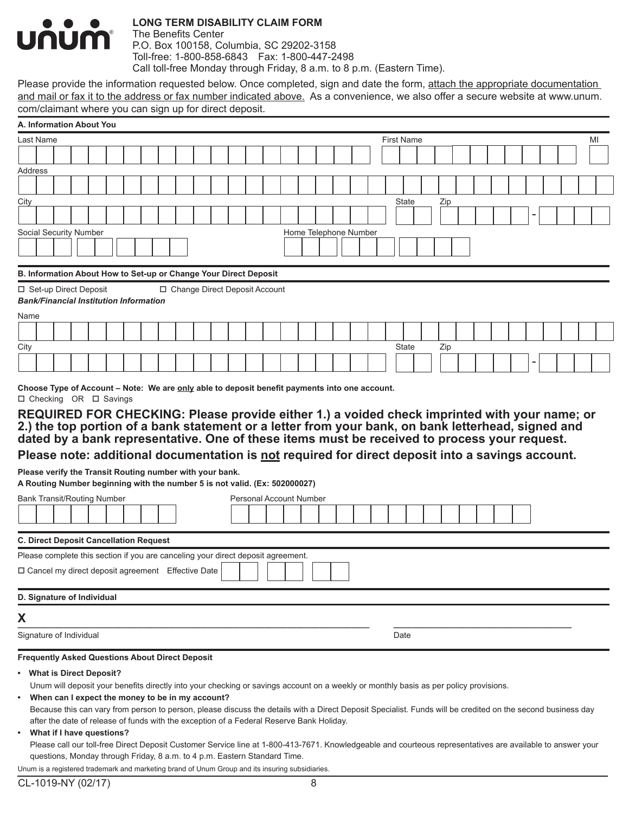

The Benefits Center P.O. Box 100158, Columbia, SC 29202-3158 Toll-free: 1-800-858-6843 Fax: 1-800-447-2498 Call toll-free Monday through Friday, 8 a.m. to 8 p.m. (Eastern Time).

Please provide the information requested below. Once completed, sign and date the form, attach the appropriate documentation and mail or fax it to the address or fax number indicated above. As a convenience, we also offer a secure website at www.unum. com/claimant where you can sign up for direct deposit.

| A. Information About You                                                         |                           |  |  |  |  |                                                                           |  |  |                                                                                                                                                             |  |  |                   |     |  |  |  |  |    |
|----------------------------------------------------------------------------------|---------------------------|--|--|--|--|---------------------------------------------------------------------------|--|--|-------------------------------------------------------------------------------------------------------------------------------------------------------------|--|--|-------------------|-----|--|--|--|--|----|
| Last Name                                                                        |                           |  |  |  |  |                                                                           |  |  |                                                                                                                                                             |  |  | <b>First Name</b> |     |  |  |  |  | ΜI |
|                                                                                  |                           |  |  |  |  |                                                                           |  |  |                                                                                                                                                             |  |  |                   |     |  |  |  |  |    |
| Address                                                                          |                           |  |  |  |  |                                                                           |  |  |                                                                                                                                                             |  |  |                   |     |  |  |  |  |    |
|                                                                                  |                           |  |  |  |  |                                                                           |  |  |                                                                                                                                                             |  |  |                   |     |  |  |  |  |    |
| City                                                                             |                           |  |  |  |  |                                                                           |  |  |                                                                                                                                                             |  |  | State             | Zip |  |  |  |  |    |
|                                                                                  |                           |  |  |  |  |                                                                           |  |  |                                                                                                                                                             |  |  |                   |     |  |  |  |  |    |
| Social Security Number                                                           |                           |  |  |  |  |                                                                           |  |  | Home Telephone Number                                                                                                                                       |  |  |                   |     |  |  |  |  |    |
|                                                                                  |                           |  |  |  |  |                                                                           |  |  |                                                                                                                                                             |  |  |                   |     |  |  |  |  |    |
|                                                                                  |                           |  |  |  |  | B. Information About How to Set-up or Change Your Direct Deposit          |  |  |                                                                                                                                                             |  |  |                   |     |  |  |  |  |    |
| □ Set-up Direct Deposit                                                          |                           |  |  |  |  | □ Change Direct Deposit Account                                           |  |  |                                                                                                                                                             |  |  |                   |     |  |  |  |  |    |
| <b>Bank/Financial Institution Information</b>                                    |                           |  |  |  |  |                                                                           |  |  |                                                                                                                                                             |  |  |                   |     |  |  |  |  |    |
| Name                                                                             |                           |  |  |  |  |                                                                           |  |  |                                                                                                                                                             |  |  |                   |     |  |  |  |  |    |
|                                                                                  |                           |  |  |  |  |                                                                           |  |  |                                                                                                                                                             |  |  |                   |     |  |  |  |  |    |
| City                                                                             |                           |  |  |  |  |                                                                           |  |  |                                                                                                                                                             |  |  | <b>State</b>      | Zip |  |  |  |  |    |
|                                                                                  |                           |  |  |  |  |                                                                           |  |  |                                                                                                                                                             |  |  |                   |     |  |  |  |  |    |
|                                                                                  |                           |  |  |  |  |                                                                           |  |  |                                                                                                                                                             |  |  |                   |     |  |  |  |  |    |
|                                                                                  |                           |  |  |  |  |                                                                           |  |  | Choose Type of Account - Note: We are only able to deposit benefit payments into one account.                                                               |  |  |                   |     |  |  |  |  |    |
| □ Checking OR □ Savings                                                          |                           |  |  |  |  |                                                                           |  |  |                                                                                                                                                             |  |  |                   |     |  |  |  |  |    |
|                                                                                  |                           |  |  |  |  |                                                                           |  |  | REQUIRED FOR CHECKING: Please provide either 1.) a voided check imprinted with your name; or                                                                |  |  |                   |     |  |  |  |  |    |
|                                                                                  |                           |  |  |  |  |                                                                           |  |  | 2.) the top portion of a bank statement or a letter from your bank, on bank letterhead, signed and                                                          |  |  |                   |     |  |  |  |  |    |
|                                                                                  |                           |  |  |  |  |                                                                           |  |  | dated by a bank representative. One of these items must be received to process your request.                                                                |  |  |                   |     |  |  |  |  |    |
|                                                                                  |                           |  |  |  |  |                                                                           |  |  | Please note: additional documentation is not required for direct deposit into a savings account.                                                            |  |  |                   |     |  |  |  |  |    |
| Please verify the Transit Routing number with your bank.                         |                           |  |  |  |  |                                                                           |  |  |                                                                                                                                                             |  |  |                   |     |  |  |  |  |    |
| A Routing Number beginning with the number 5 is not valid. (Ex: 502000027)       |                           |  |  |  |  |                                                                           |  |  |                                                                                                                                                             |  |  |                   |     |  |  |  |  |    |
| <b>Bank Transit/Routing Number</b>                                               |                           |  |  |  |  |                                                                           |  |  | Personal Account Number                                                                                                                                     |  |  |                   |     |  |  |  |  |    |
|                                                                                  |                           |  |  |  |  |                                                                           |  |  |                                                                                                                                                             |  |  |                   |     |  |  |  |  |    |
|                                                                                  |                           |  |  |  |  |                                                                           |  |  |                                                                                                                                                             |  |  |                   |     |  |  |  |  |    |
| <b>C. Direct Deposit Cancellation Request</b>                                    |                           |  |  |  |  |                                                                           |  |  |                                                                                                                                                             |  |  |                   |     |  |  |  |  |    |
| Please complete this section if you are canceling your direct deposit agreement. |                           |  |  |  |  |                                                                           |  |  |                                                                                                                                                             |  |  |                   |     |  |  |  |  |    |
| □ Cancel my direct deposit agreement Effective Date                              |                           |  |  |  |  |                                                                           |  |  |                                                                                                                                                             |  |  |                   |     |  |  |  |  |    |
|                                                                                  |                           |  |  |  |  |                                                                           |  |  |                                                                                                                                                             |  |  |                   |     |  |  |  |  |    |
| D. Signature of Individual                                                       |                           |  |  |  |  |                                                                           |  |  |                                                                                                                                                             |  |  |                   |     |  |  |  |  |    |
| X                                                                                |                           |  |  |  |  |                                                                           |  |  |                                                                                                                                                             |  |  |                   |     |  |  |  |  |    |
| Signature of Individual                                                          |                           |  |  |  |  |                                                                           |  |  |                                                                                                                                                             |  |  | Date              |     |  |  |  |  |    |
| <b>Frequently Asked Questions About Direct Deposit</b>                           |                           |  |  |  |  |                                                                           |  |  |                                                                                                                                                             |  |  |                   |     |  |  |  |  |    |
| • What is Direct Deposit?                                                        |                           |  |  |  |  |                                                                           |  |  |                                                                                                                                                             |  |  |                   |     |  |  |  |  |    |
|                                                                                  |                           |  |  |  |  |                                                                           |  |  | Unum will deposit your benefits directly into your checking or savings account on a weekly or monthly basis as per policy provisions.                       |  |  |                   |     |  |  |  |  |    |
| $\bullet$                                                                        |                           |  |  |  |  | When can I expect the money to be in my account?                          |  |  |                                                                                                                                                             |  |  |                   |     |  |  |  |  |    |
|                                                                                  |                           |  |  |  |  |                                                                           |  |  | Because this can vary from person to person, please discuss the details with a Direct Deposit Specialist. Funds will be credited on the second business day |  |  |                   |     |  |  |  |  |    |
|                                                                                  |                           |  |  |  |  |                                                                           |  |  | after the date of release of funds with the exception of a Federal Reserve Bank Holiday.                                                                    |  |  |                   |     |  |  |  |  |    |
| $\bullet$                                                                        | What if I have questions? |  |  |  |  |                                                                           |  |  |                                                                                                                                                             |  |  |                   |     |  |  |  |  |    |
|                                                                                  |                           |  |  |  |  |                                                                           |  |  | Please call our toll-free Direct Deposit Customer Service line at 1-800-413-7671. Knowledgeable and courteous representatives are available to answer your  |  |  |                   |     |  |  |  |  |    |
|                                                                                  |                           |  |  |  |  | questions, Monday through Friday, 8 a.m. to 4 p.m. Eastern Standard Time. |  |  |                                                                                                                                                             |  |  |                   |     |  |  |  |  |    |
|                                                                                  |                           |  |  |  |  |                                                                           |  |  | Unum is a registered trademark and marketing brand of Unum Group and its insuring subsidiaries.                                                             |  |  |                   |     |  |  |  |  |    |
| CL-1019-NY (02/17)                                                               |                           |  |  |  |  |                                                                           |  |  | 8                                                                                                                                                           |  |  |                   |     |  |  |  |  |    |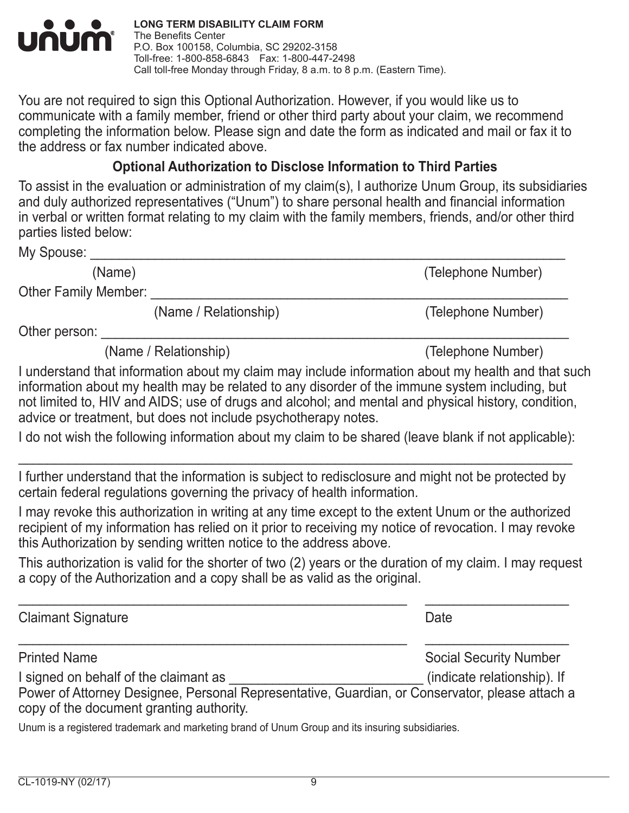

You are not required to sign this Optional Authorization. However, if you would like us to communicate with a family member, friend or other third party about your claim, we recommend completing the information below. Please sign and date the form as indicated and mail or fax it to the address or fax number indicated above.

# **Optional Authorization to Disclose Information to Third Parties**

To assist in the evaluation or administration of my claim(s), I authorize Unum Group, its subsidiaries and duly authorized representatives ("Unum") to share personal health and financial information in verbal or written format relating to my claim with the family members, friends, and/or other third parties listed below:

My Spouse:

(Name) (Telephone Number)

Other Family Member: \_

(Name / Relationship) (Telephone Number)

Other person:

(Name / Relationship) (Telephone Number)

I understand that information about my claim may include information about my health and that such information about my health may be related to any disorder of the immune system including, but not limited to, HIV and AIDS; use of drugs and alcohol; and mental and physical history, condition, advice or treatment, but does not include psychotherapy notes.

I do not wish the following information about my claim to be shared (leave blank if not applicable):

\_\_\_\_\_\_\_\_\_\_\_\_\_\_\_\_\_\_\_\_\_\_\_\_\_\_\_\_\_\_\_\_\_\_\_\_\_\_\_\_\_\_\_\_\_\_\_\_\_\_\_\_\_\_\_\_\_\_\_\_\_\_\_\_\_\_\_\_\_\_\_\_\_\_\_\_\_

I further understand that the information is subject to redisclosure and might not be protected by certain federal regulations governing the privacy of health information.

I may revoke this authorization in writing at any time except to the extent Unum or the authorized recipient of my information has relied on it prior to receiving my notice of revocation. I may revoke this Authorization by sending written notice to the address above.

This authorization is valid for the shorter of two (2) years or the duration of my claim. I may request a copy of the Authorization and a copy shall be as valid as the original.

\_\_\_\_\_\_\_\_\_\_\_\_\_\_\_\_\_\_\_\_\_\_\_\_\_\_\_\_\_\_\_\_\_\_\_\_\_\_\_\_\_\_\_\_\_\_\_\_\_\_\_\_\_\_ \_\_\_\_\_\_\_\_\_\_\_\_\_\_\_\_\_\_\_\_ Claimant Signature Date Date Claimant Signature Date \_\_\_\_\_\_\_\_\_\_\_\_\_\_\_\_\_\_\_\_\_\_\_\_\_\_\_\_\_\_\_\_\_\_\_\_\_\_\_\_\_\_\_\_\_\_\_\_\_\_\_\_\_\_ \_\_\_\_\_\_\_\_\_\_\_\_\_\_\_\_\_\_\_\_ Printed Name **Social Security Number** Social Security Number I signed on behalf of the claimant as  $\blacksquare$  (indicate relationship). If Power of Attorney Designee, Personal Representative, Guardian, or Conservator, please attach a copy of the document granting authority.

Unum is a registered trademark and marketing brand of Unum Group and its insuring subsidiaries.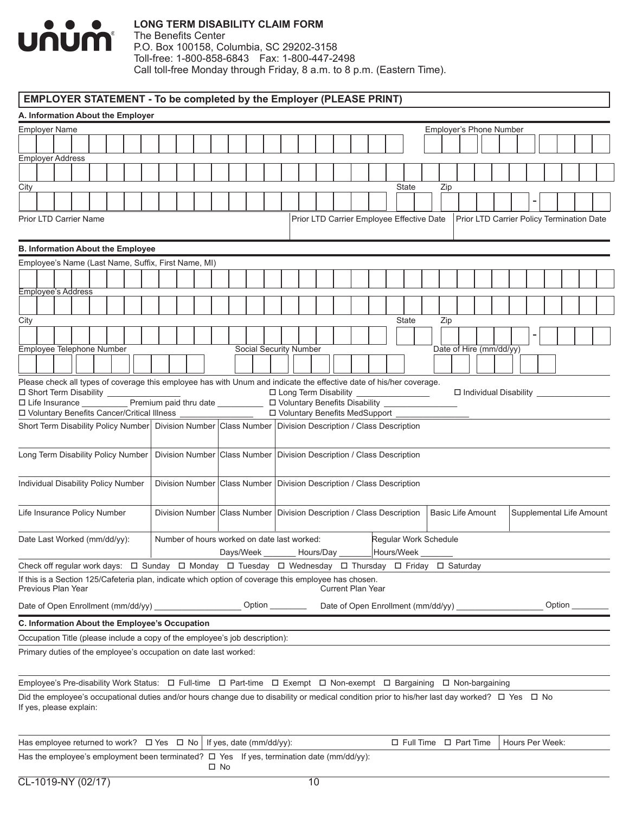

The Benefits Center P.O. Box 100158, Columbia, SC 29202-3158 Toll-free: 1-800-858-6843 Fax: 1-800-447-2498 Call toll-free Monday through Friday, 8 a.m. to 8 p.m. (Eastern Time).

# **EMPLOYER STATEMENT - To be completed by the Employer (PLEASE PRINT)**

| A. Information About the Employer                   |  |  |  |  |  |  |  |              |                                                                                                                                                          |  |                        |    |                             |  |                                           |  |                                     |                          |  |  |                              |  |                 |        |                                           |
|-----------------------------------------------------|--|--|--|--|--|--|--|--------------|----------------------------------------------------------------------------------------------------------------------------------------------------------|--|------------------------|----|-----------------------------|--|-------------------------------------------|--|-------------------------------------|--------------------------|--|--|------------------------------|--|-----------------|--------|-------------------------------------------|
| <b>Employer Name</b>                                |  |  |  |  |  |  |  |              |                                                                                                                                                          |  |                        |    |                             |  |                                           |  |                                     | Employer's Phone Number  |  |  |                              |  |                 |        |                                           |
|                                                     |  |  |  |  |  |  |  |              |                                                                                                                                                          |  |                        |    |                             |  |                                           |  |                                     |                          |  |  |                              |  |                 |        |                                           |
| <b>Employer Address</b>                             |  |  |  |  |  |  |  |              |                                                                                                                                                          |  |                        |    |                             |  |                                           |  |                                     |                          |  |  |                              |  |                 |        |                                           |
|                                                     |  |  |  |  |  |  |  |              |                                                                                                                                                          |  |                        |    |                             |  |                                           |  |                                     |                          |  |  |                              |  |                 |        |                                           |
| City                                                |  |  |  |  |  |  |  |              |                                                                                                                                                          |  |                        |    |                             |  |                                           |  | <b>State</b>                        | Zip                      |  |  |                              |  |                 |        |                                           |
|                                                     |  |  |  |  |  |  |  |              |                                                                                                                                                          |  |                        |    |                             |  |                                           |  |                                     |                          |  |  |                              |  |                 |        |                                           |
| <b>Prior LTD Carrier Name</b>                       |  |  |  |  |  |  |  |              |                                                                                                                                                          |  |                        |    |                             |  | Prior LTD Carrier Employee Effective Date |  |                                     |                          |  |  |                              |  |                 |        | Prior LTD Carrier Policy Termination Date |
| <b>B. Information About the Employee</b>            |  |  |  |  |  |  |  |              |                                                                                                                                                          |  |                        |    |                             |  |                                           |  |                                     |                          |  |  |                              |  |                 |        |                                           |
| Employee's Name (Last Name, Suffix, First Name, MI) |  |  |  |  |  |  |  |              |                                                                                                                                                          |  |                        |    |                             |  |                                           |  |                                     |                          |  |  |                              |  |                 |        |                                           |
|                                                     |  |  |  |  |  |  |  |              |                                                                                                                                                          |  |                        |    |                             |  |                                           |  |                                     |                          |  |  |                              |  |                 |        |                                           |
| <b>Employee's Address</b>                           |  |  |  |  |  |  |  |              |                                                                                                                                                          |  |                        |    |                             |  |                                           |  |                                     |                          |  |  |                              |  |                 |        |                                           |
|                                                     |  |  |  |  |  |  |  |              |                                                                                                                                                          |  |                        |    |                             |  |                                           |  |                                     |                          |  |  |                              |  |                 |        |                                           |
| City                                                |  |  |  |  |  |  |  |              |                                                                                                                                                          |  |                        |    |                             |  |                                           |  | State                               | Zip                      |  |  |                              |  |                 |        |                                           |
|                                                     |  |  |  |  |  |  |  |              |                                                                                                                                                          |  |                        |    |                             |  |                                           |  |                                     |                          |  |  |                              |  |                 |        |                                           |
| Employee Telephone Number                           |  |  |  |  |  |  |  |              |                                                                                                                                                          |  | Social Security Number |    |                             |  |                                           |  |                                     | Date of Hire (mm/dd/yy)  |  |  |                              |  |                 |        |                                           |
|                                                     |  |  |  |  |  |  |  |              |                                                                                                                                                          |  |                        |    |                             |  |                                           |  |                                     |                          |  |  |                              |  |                 |        |                                           |
|                                                     |  |  |  |  |  |  |  |              | Please check all types of coverage this employee has with Unum and indicate the effective date of his/her coverage.                                      |  |                        |    |                             |  |                                           |  |                                     |                          |  |  |                              |  |                 |        |                                           |
| □ Short Term Disability __________                  |  |  |  |  |  |  |  |              |                                                                                                                                                          |  |                        |    | $\Box$ Long Term Disability |  |                                           |  |                                     |                          |  |  | $\Box$ Individual Disability |  |                 |        |                                           |
|                                                     |  |  |  |  |  |  |  |              | □ Life Insurance Premium paid thru date □ □ D Voluntary Benefits Disability<br>D Voluntary Benefits Cancer/Critical Illness ________________             |  |                        |    |                             |  | □ Voluntary Benefits MedSupport           |  |                                     |                          |  |  |                              |  |                 |        |                                           |
|                                                     |  |  |  |  |  |  |  |              | Short Term Disability Policy Number   Division Number   Class Number   Division Description / Class Description                                          |  |                        |    |                             |  |                                           |  |                                     |                          |  |  |                              |  |                 |        |                                           |
|                                                     |  |  |  |  |  |  |  |              |                                                                                                                                                          |  |                        |    |                             |  |                                           |  |                                     |                          |  |  |                              |  |                 |        |                                           |
| Long Term Disability Policy Number                  |  |  |  |  |  |  |  |              | Division Number Class Number Division Description / Class Description                                                                                    |  |                        |    |                             |  |                                           |  |                                     |                          |  |  |                              |  |                 |        |                                           |
| Individual Disability Policy Number                 |  |  |  |  |  |  |  |              | Division Number Class Number Division Description / Class Description                                                                                    |  |                        |    |                             |  |                                           |  |                                     |                          |  |  |                              |  |                 |        |                                           |
| Life Insurance Policy Number                        |  |  |  |  |  |  |  |              | Division Number Class Number Division Description / Class Description                                                                                    |  |                        |    |                             |  |                                           |  |                                     | <b>Basic Life Amount</b> |  |  |                              |  |                 |        | Supplemental Life Amount                  |
| Date Last Worked (mm/dd/yy):                        |  |  |  |  |  |  |  |              | Number of hours worked on date last worked:<br>Days/Week                                                                                                 |  |                        |    | Hours/Day                   |  |                                           |  | Regular Work Schedule<br>Hours/Week |                          |  |  |                              |  |                 |        |                                           |
|                                                     |  |  |  |  |  |  |  |              | Check off regular work days: $\Box$ Sunday $\Box$ Monday $\Box$ Tuesday $\Box$ Wednesday $\Box$ Thursday $\Box$ Friday $\Box$ Saturday                   |  |                        |    |                             |  |                                           |  |                                     |                          |  |  |                              |  |                 |        |                                           |
| Previous Plan Year                                  |  |  |  |  |  |  |  |              | If this is a Section 125/Cafeteria plan, indicate which option of coverage this employee has chosen.                                                     |  |                        |    |                             |  | Current Plan Year                         |  |                                     |                          |  |  |                              |  |                 |        |                                           |
| Date of Open Enrollment (mm/dd/yy)                  |  |  |  |  |  |  |  |              |                                                                                                                                                          |  | Option                 |    |                             |  |                                           |  |                                     |                          |  |  |                              |  |                 | Option |                                           |
| C. Information About the Employee's Occupation      |  |  |  |  |  |  |  |              |                                                                                                                                                          |  |                        |    |                             |  |                                           |  |                                     |                          |  |  |                              |  |                 |        |                                           |
|                                                     |  |  |  |  |  |  |  |              | Occupation Title (please include a copy of the employee's job description):                                                                              |  |                        |    |                             |  |                                           |  |                                     |                          |  |  |                              |  |                 |        |                                           |
|                                                     |  |  |  |  |  |  |  |              | Primary duties of the employee's occupation on date last worked:                                                                                         |  |                        |    |                             |  |                                           |  |                                     |                          |  |  |                              |  |                 |        |                                           |
|                                                     |  |  |  |  |  |  |  |              | Employee's Pre-disability Work Status: $\Box$ Full-time $\Box$ Part-time $\Box$ Exempt $\Box$ Non-exempt $\Box$ Bargaining $\Box$ Non-bargaining         |  |                        |    |                             |  |                                           |  |                                     |                          |  |  |                              |  |                 |        |                                           |
| If yes, please explain:                             |  |  |  |  |  |  |  |              | Did the employee's occupational duties and/or hours change due to disability or medical condition prior to his/her last day worked? $\Box$ Yes $\Box$ No |  |                        |    |                             |  |                                           |  |                                     |                          |  |  |                              |  |                 |        |                                           |
|                                                     |  |  |  |  |  |  |  |              | Has employee returned to work? $\Box$ Yes $\Box$ No   If yes, date (mm/dd/yy):                                                                           |  |                        |    |                             |  |                                           |  | $\Box$ Full Time $\Box$ Part Time   |                          |  |  |                              |  | Hours Per Week: |        |                                           |
|                                                     |  |  |  |  |  |  |  | $\square$ No | Has the employee's employment been terminated? $\Box$ Yes If yes, termination date (mm/dd/yy):                                                           |  |                        |    |                             |  |                                           |  |                                     |                          |  |  |                              |  |                 |        |                                           |
| CL-1019-NY (02/17)                                  |  |  |  |  |  |  |  |              |                                                                                                                                                          |  |                        | 10 |                             |  |                                           |  |                                     |                          |  |  |                              |  |                 |        |                                           |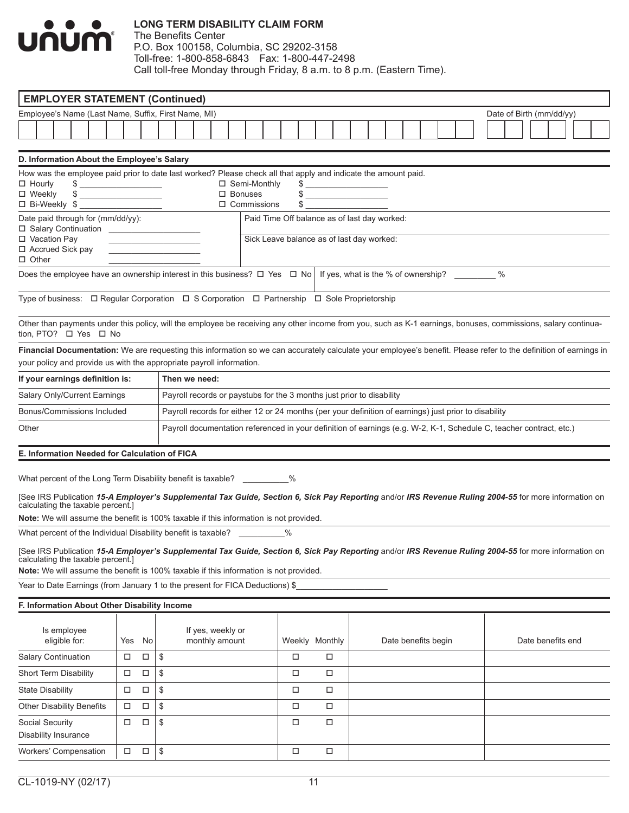# $\bullet$   $\bullet$   $\bullet$ <u>unum</u>

#### **LONG TERM DISABILITY CLAIM FORM**

| <b>EMPLOYER STATEMENT (Continued)</b>                                                                                                                                                                                                                                              |        |        |                                                                                                                     |                                      |                                              |                |  |                     |  |  |  |                          |  |  |
|------------------------------------------------------------------------------------------------------------------------------------------------------------------------------------------------------------------------------------------------------------------------------------|--------|--------|---------------------------------------------------------------------------------------------------------------------|--------------------------------------|----------------------------------------------|----------------|--|---------------------|--|--|--|--------------------------|--|--|
| Employee's Name (Last Name, Suffix, First Name, MI)                                                                                                                                                                                                                                |        |        |                                                                                                                     |                                      |                                              |                |  |                     |  |  |  | Date of Birth (mm/dd/yy) |  |  |
|                                                                                                                                                                                                                                                                                    |        |        |                                                                                                                     |                                      |                                              |                |  |                     |  |  |  |                          |  |  |
| D. Information About the Employee's Salary                                                                                                                                                                                                                                         |        |        |                                                                                                                     |                                      |                                              |                |  |                     |  |  |  |                          |  |  |
| How was the employee paid prior to date last worked? Please check all that apply and indicate the amount paid.                                                                                                                                                                     |        |        |                                                                                                                     |                                      |                                              |                |  |                     |  |  |  |                          |  |  |
| $\Box$ Hourly<br>$\qquad \qquad \bullet$                                                                                                                                                                                                                                           |        |        |                                                                                                                     | $\Box$ Semi-Monthly                  |                                              | $\frac{1}{2}$  |  |                     |  |  |  |                          |  |  |
| □ Weekly<br>$\frac{1}{2}$                                                                                                                                                                                                                                                          |        |        |                                                                                                                     | $\Box$ Bonuses<br>$\Box$ Commissions |                                              | $\frac{1}{2}$  |  |                     |  |  |  |                          |  |  |
| Date paid through for (mm/dd/yy):                                                                                                                                                                                                                                                  |        |        |                                                                                                                     |                                      | Paid Time Off balance as of last day worked: |                |  |                     |  |  |  |                          |  |  |
| □ Vacation Pay                                                                                                                                                                                                                                                                     |        |        |                                                                                                                     |                                      | Sick Leave balance as of last day worked:    |                |  |                     |  |  |  |                          |  |  |
| □ Accrued Sick pay<br>$\Box$ Other                                                                                                                                                                                                                                                 |        |        |                                                                                                                     |                                      |                                              |                |  |                     |  |  |  |                          |  |  |
| Does the employee have an ownership interest in this business? $\Box$ Nes $\Box$ No   If yes, what is the % of ownership? ________ %                                                                                                                                               |        |        |                                                                                                                     |                                      |                                              |                |  |                     |  |  |  |                          |  |  |
| Type of business: □ Regular Corporation □ S Corporation □ Partnership □ Sole Proprietorship                                                                                                                                                                                        |        |        |                                                                                                                     |                                      |                                              |                |  |                     |  |  |  |                          |  |  |
| Other than payments under this policy, will the employee be receiving any other income from you, such as K-1 earnings, bonuses, commissions, salary continua-<br>tion, PTO? □ Yes □ No                                                                                             |        |        |                                                                                                                     |                                      |                                              |                |  |                     |  |  |  |                          |  |  |
| Financial Documentation: We are requesting this information so we can accurately calculate your employee's benefit. Please refer to the definition of earnings in<br>your policy and provide us with the appropriate payroll information.                                          |        |        |                                                                                                                     |                                      |                                              |                |  |                     |  |  |  |                          |  |  |
| If your earnings definition is:                                                                                                                                                                                                                                                    |        |        | Then we need:                                                                                                       |                                      |                                              |                |  |                     |  |  |  |                          |  |  |
| Salary Only/Current Earnings                                                                                                                                                                                                                                                       |        |        | Payroll records or paystubs for the 3 months just prior to disability                                               |                                      |                                              |                |  |                     |  |  |  |                          |  |  |
| Bonus/Commissions Included                                                                                                                                                                                                                                                         |        |        | Payroll records for either 12 or 24 months (per your definition of earnings) just prior to disability               |                                      |                                              |                |  |                     |  |  |  |                          |  |  |
| Other                                                                                                                                                                                                                                                                              |        |        | Payroll documentation referenced in your definition of earnings (e.g. W-2, K-1, Schedule C, teacher contract, etc.) |                                      |                                              |                |  |                     |  |  |  |                          |  |  |
| E. Information Needed for Calculation of FICA                                                                                                                                                                                                                                      |        |        |                                                                                                                     |                                      |                                              |                |  |                     |  |  |  |                          |  |  |
| What percent of the Long Term Disability benefit is taxable? ___________ %                                                                                                                                                                                                         |        |        |                                                                                                                     |                                      |                                              |                |  |                     |  |  |  |                          |  |  |
| [See IRS Publication 15-A Employer's Supplemental Tax Guide, Section 6, Sick Pay Reporting and/or IRS Revenue Ruling 2004-55 for more information on<br>calculating the taxable percent.]<br>Note: We will assume the benefit is 100% taxable if this information is not provided. |        |        |                                                                                                                     |                                      |                                              |                |  |                     |  |  |  |                          |  |  |
| What percent of the Individual Disability benefit is taxable? __________%                                                                                                                                                                                                          |        |        |                                                                                                                     |                                      |                                              |                |  |                     |  |  |  |                          |  |  |
| [See IRS Publication 15-A Employer's Supplemental Tax Guide, Section 6, Sick Pay Reporting and/or IRS Revenue Ruling 2004-55 for more information on                                                                                                                               |        |        |                                                                                                                     |                                      |                                              |                |  |                     |  |  |  |                          |  |  |
| calculating the taxable percent.]<br>Note: We will assume the benefit is 100% taxable if this information is not provided.                                                                                                                                                         |        |        |                                                                                                                     |                                      |                                              |                |  |                     |  |  |  |                          |  |  |
| Year to Date Earnings (from January 1 to the present for FICA Deductions) \$                                                                                                                                                                                                       |        |        |                                                                                                                     |                                      |                                              |                |  |                     |  |  |  |                          |  |  |
| F. Information About Other Disability Income                                                                                                                                                                                                                                       |        |        |                                                                                                                     |                                      |                                              |                |  |                     |  |  |  |                          |  |  |
| Is employee<br>eligible for:                                                                                                                                                                                                                                                       | Yes    | No     | If yes, weekly or<br>monthly amount                                                                                 |                                      |                                              | Weekly Monthly |  | Date benefits begin |  |  |  | Date benefits end        |  |  |
| <b>Salary Continuation</b>                                                                                                                                                                                                                                                         | □      | □      | \$                                                                                                                  |                                      | □                                            | $\Box$         |  |                     |  |  |  |                          |  |  |
| Short Term Disability                                                                                                                                                                                                                                                              | □      | $\Box$ | \$                                                                                                                  |                                      | □                                            | $\Box$         |  |                     |  |  |  |                          |  |  |
| <b>State Disability</b>                                                                                                                                                                                                                                                            | $\Box$ | $\Box$ | \$                                                                                                                  |                                      | □                                            | □              |  |                     |  |  |  |                          |  |  |
| <b>Other Disability Benefits</b>                                                                                                                                                                                                                                                   | $\Box$ | $\Box$ | \$                                                                                                                  |                                      | □                                            | □              |  |                     |  |  |  |                          |  |  |
| Social Security                                                                                                                                                                                                                                                                    | □      | $\Box$ | \$                                                                                                                  |                                      | □                                            | $\Box$         |  |                     |  |  |  |                          |  |  |
| Disability Insurance                                                                                                                                                                                                                                                               |        |        |                                                                                                                     |                                      |                                              |                |  |                     |  |  |  |                          |  |  |
| Workers' Compensation                                                                                                                                                                                                                                                              | $\Box$ | $\Box$ | \$                                                                                                                  |                                      | $\Box$                                       | □              |  |                     |  |  |  |                          |  |  |
|                                                                                                                                                                                                                                                                                    |        |        |                                                                                                                     |                                      |                                              |                |  |                     |  |  |  |                          |  |  |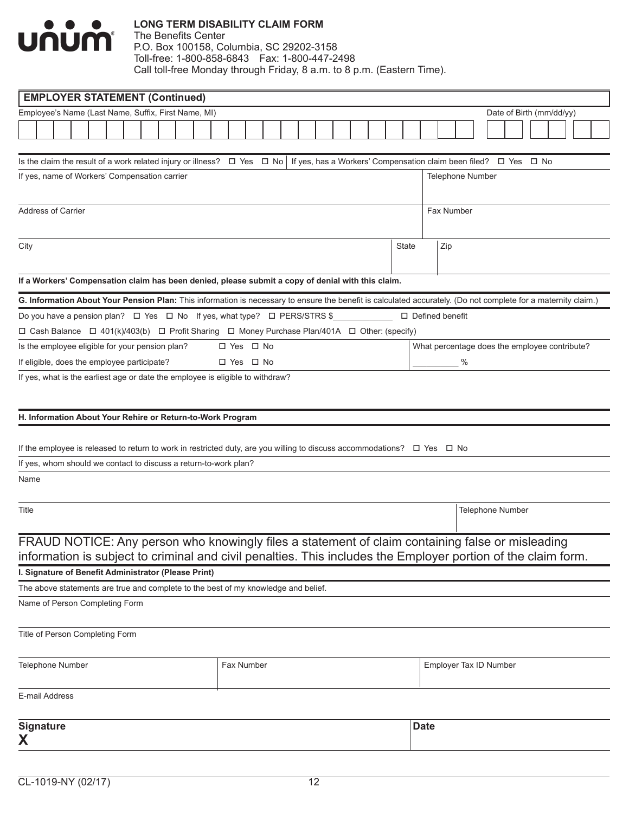

|                    |                                                                                                                                                                                                                                                                                                                                                                                                      |  |  |  | <b>EMPLOYER STATEMENT (Continued)</b>                |  |  |  |  |  |  |  |  |  |                                                                                                               |  |  |                                                                            |  |  |       |             |                         |  |                  |  |  |                          |  |  |
|--------------------|------------------------------------------------------------------------------------------------------------------------------------------------------------------------------------------------------------------------------------------------------------------------------------------------------------------------------------------------------------------------------------------------------|--|--|--|------------------------------------------------------|--|--|--|--|--|--|--|--|--|---------------------------------------------------------------------------------------------------------------|--|--|----------------------------------------------------------------------------|--|--|-------|-------------|-------------------------|--|------------------|--|--|--------------------------|--|--|
|                    |                                                                                                                                                                                                                                                                                                                                                                                                      |  |  |  | Employee's Name (Last Name, Suffix, First Name, MI)  |  |  |  |  |  |  |  |  |  |                                                                                                               |  |  |                                                                            |  |  |       |             |                         |  |                  |  |  | Date of Birth (mm/dd/yy) |  |  |
|                    |                                                                                                                                                                                                                                                                                                                                                                                                      |  |  |  |                                                      |  |  |  |  |  |  |  |  |  |                                                                                                               |  |  |                                                                            |  |  |       |             |                         |  |                  |  |  |                          |  |  |
|                    |                                                                                                                                                                                                                                                                                                                                                                                                      |  |  |  |                                                      |  |  |  |  |  |  |  |  |  |                                                                                                               |  |  |                                                                            |  |  |       |             |                         |  |                  |  |  |                          |  |  |
|                    |                                                                                                                                                                                                                                                                                                                                                                                                      |  |  |  |                                                      |  |  |  |  |  |  |  |  |  | Is the claim the result of a work related injury or illness? $\Box$ Yes $\Box$ No                             |  |  | If yes, has a Workers' Compensation claim been filed? $\Box$ Yes $\Box$ No |  |  |       |             |                         |  |                  |  |  |                          |  |  |
|                    |                                                                                                                                                                                                                                                                                                                                                                                                      |  |  |  | If yes, name of Workers' Compensation carrier        |  |  |  |  |  |  |  |  |  |                                                                                                               |  |  |                                                                            |  |  |       |             | <b>Telephone Number</b> |  |                  |  |  |                          |  |  |
|                    |                                                                                                                                                                                                                                                                                                                                                                                                      |  |  |  |                                                      |  |  |  |  |  |  |  |  |  |                                                                                                               |  |  |                                                                            |  |  |       |             |                         |  |                  |  |  |                          |  |  |
| Address of Carrier |                                                                                                                                                                                                                                                                                                                                                                                                      |  |  |  |                                                      |  |  |  |  |  |  |  |  |  |                                                                                                               |  |  |                                                                            |  |  |       |             | Fax Number              |  |                  |  |  |                          |  |  |
|                    |                                                                                                                                                                                                                                                                                                                                                                                                      |  |  |  |                                                      |  |  |  |  |  |  |  |  |  |                                                                                                               |  |  |                                                                            |  |  |       |             |                         |  |                  |  |  |                          |  |  |
|                    |                                                                                                                                                                                                                                                                                                                                                                                                      |  |  |  |                                                      |  |  |  |  |  |  |  |  |  |                                                                                                               |  |  |                                                                            |  |  |       |             |                         |  |                  |  |  |                          |  |  |
| City               |                                                                                                                                                                                                                                                                                                                                                                                                      |  |  |  |                                                      |  |  |  |  |  |  |  |  |  |                                                                                                               |  |  |                                                                            |  |  | State |             | Zip                     |  |                  |  |  |                          |  |  |
|                    |                                                                                                                                                                                                                                                                                                                                                                                                      |  |  |  |                                                      |  |  |  |  |  |  |  |  |  |                                                                                                               |  |  |                                                                            |  |  |       |             |                         |  |                  |  |  |                          |  |  |
|                    |                                                                                                                                                                                                                                                                                                                                                                                                      |  |  |  |                                                      |  |  |  |  |  |  |  |  |  | If a Workers' Compensation claim has been denied, please submit a copy of denial with this claim.             |  |  |                                                                            |  |  |       |             |                         |  |                  |  |  |                          |  |  |
|                    |                                                                                                                                                                                                                                                                                                                                                                                                      |  |  |  |                                                      |  |  |  |  |  |  |  |  |  |                                                                                                               |  |  |                                                                            |  |  |       |             |                         |  |                  |  |  |                          |  |  |
|                    |                                                                                                                                                                                                                                                                                                                                                                                                      |  |  |  |                                                      |  |  |  |  |  |  |  |  |  |                                                                                                               |  |  |                                                                            |  |  |       |             |                         |  |                  |  |  |                          |  |  |
|                    |                                                                                                                                                                                                                                                                                                                                                                                                      |  |  |  |                                                      |  |  |  |  |  |  |  |  |  |                                                                                                               |  |  |                                                                            |  |  |       |             |                         |  |                  |  |  |                          |  |  |
|                    | Do you have a pension plan? $\Box$ Yes $\Box$ No If yes, what type? $\Box$ PERS/STRS \$<br>$\Box$ Defined benefit<br>□ Cash Balance □ 401(k)/403(b) □ Profit Sharing □ Money Purchase Plan/401A □ Other: (specify)<br>Is the employee eligible for your pension plan?<br>□ Yes □ No<br>What percentage does the employee contribute?<br>□ Yes □ No                                                   |  |  |  |                                                      |  |  |  |  |  |  |  |  |  |                                                                                                               |  |  |                                                                            |  |  |       |             |                         |  |                  |  |  |                          |  |  |
|                    | %                                                                                                                                                                                                                                                                                                                                                                                                    |  |  |  |                                                      |  |  |  |  |  |  |  |  |  |                                                                                                               |  |  |                                                                            |  |  |       |             |                         |  |                  |  |  |                          |  |  |
|                    | G. Information About Your Pension Plan: This information is necessary to ensure the benefit is calculated accurately. (Do not complete for a maternity claim.)                                                                                                                                                                                                                                       |  |  |  |                                                      |  |  |  |  |  |  |  |  |  |                                                                                                               |  |  |                                                                            |  |  |       |             |                         |  |                  |  |  |                          |  |  |
|                    |                                                                                                                                                                                                                                                                                                                                                                                                      |  |  |  |                                                      |  |  |  |  |  |  |  |  |  |                                                                                                               |  |  |                                                                            |  |  |       |             |                         |  |                  |  |  |                          |  |  |
|                    |                                                                                                                                                                                                                                                                                                                                                                                                      |  |  |  |                                                      |  |  |  |  |  |  |  |  |  |                                                                                                               |  |  |                                                                            |  |  |       |             |                         |  |                  |  |  |                          |  |  |
|                    |                                                                                                                                                                                                                                                                                                                                                                                                      |  |  |  |                                                      |  |  |  |  |  |  |  |  |  |                                                                                                               |  |  |                                                                            |  |  |       |             |                         |  |                  |  |  |                          |  |  |
|                    | If eligible, does the employee participate?<br>If yes, what is the earliest age or date the employee is eligible to withdraw?<br>H. Information About Your Rehire or Return-to-Work Program<br>If the employee is released to return to work in restricted duty, are you willing to discuss accommodations? $\Box$ Yes $\Box$ No<br>If yes, whom should we contact to discuss a return-to-work plan? |  |  |  |                                                      |  |  |  |  |  |  |  |  |  |                                                                                                               |  |  |                                                                            |  |  |       |             |                         |  |                  |  |  |                          |  |  |
|                    |                                                                                                                                                                                                                                                                                                                                                                                                      |  |  |  |                                                      |  |  |  |  |  |  |  |  |  |                                                                                                               |  |  |                                                                            |  |  |       |             |                         |  |                  |  |  |                          |  |  |
| Name               |                                                                                                                                                                                                                                                                                                                                                                                                      |  |  |  |                                                      |  |  |  |  |  |  |  |  |  |                                                                                                               |  |  |                                                                            |  |  |       |             |                         |  |                  |  |  |                          |  |  |
|                    |                                                                                                                                                                                                                                                                                                                                                                                                      |  |  |  |                                                      |  |  |  |  |  |  |  |  |  |                                                                                                               |  |  |                                                                            |  |  |       |             |                         |  |                  |  |  |                          |  |  |
| Title              |                                                                                                                                                                                                                                                                                                                                                                                                      |  |  |  |                                                      |  |  |  |  |  |  |  |  |  |                                                                                                               |  |  |                                                                            |  |  |       |             |                         |  | Telephone Number |  |  |                          |  |  |
|                    |                                                                                                                                                                                                                                                                                                                                                                                                      |  |  |  |                                                      |  |  |  |  |  |  |  |  |  |                                                                                                               |  |  |                                                                            |  |  |       |             |                         |  |                  |  |  |                          |  |  |
|                    |                                                                                                                                                                                                                                                                                                                                                                                                      |  |  |  |                                                      |  |  |  |  |  |  |  |  |  | FRAUD NOTICE: Any person who knowingly files a statement of claim containing false or misleading              |  |  |                                                                            |  |  |       |             |                         |  |                  |  |  |                          |  |  |
|                    |                                                                                                                                                                                                                                                                                                                                                                                                      |  |  |  |                                                      |  |  |  |  |  |  |  |  |  | information is subject to criminal and civil penalties. This includes the Employer portion of the claim form. |  |  |                                                                            |  |  |       |             |                         |  |                  |  |  |                          |  |  |
|                    |                                                                                                                                                                                                                                                                                                                                                                                                      |  |  |  | I. Signature of Benefit Administrator (Please Print) |  |  |  |  |  |  |  |  |  |                                                                                                               |  |  |                                                                            |  |  |       |             |                         |  |                  |  |  |                          |  |  |
|                    |                                                                                                                                                                                                                                                                                                                                                                                                      |  |  |  |                                                      |  |  |  |  |  |  |  |  |  | The above statements are true and complete to the best of my knowledge and belief.                            |  |  |                                                                            |  |  |       |             |                         |  |                  |  |  |                          |  |  |
|                    |                                                                                                                                                                                                                                                                                                                                                                                                      |  |  |  | Name of Person Completing Form                       |  |  |  |  |  |  |  |  |  |                                                                                                               |  |  |                                                                            |  |  |       |             |                         |  |                  |  |  |                          |  |  |
|                    |                                                                                                                                                                                                                                                                                                                                                                                                      |  |  |  | Title of Person Completing Form                      |  |  |  |  |  |  |  |  |  |                                                                                                               |  |  |                                                                            |  |  |       |             |                         |  |                  |  |  |                          |  |  |
|                    |                                                                                                                                                                                                                                                                                                                                                                                                      |  |  |  |                                                      |  |  |  |  |  |  |  |  |  |                                                                                                               |  |  |                                                                            |  |  |       |             |                         |  |                  |  |  |                          |  |  |
| Telephone Number   |                                                                                                                                                                                                                                                                                                                                                                                                      |  |  |  |                                                      |  |  |  |  |  |  |  |  |  | Fax Number                                                                                                    |  |  |                                                                            |  |  |       |             | Employer Tax ID Number  |  |                  |  |  |                          |  |  |
|                    |                                                                                                                                                                                                                                                                                                                                                                                                      |  |  |  |                                                      |  |  |  |  |  |  |  |  |  |                                                                                                               |  |  |                                                                            |  |  |       |             |                         |  |                  |  |  |                          |  |  |
| E-mail Address     |                                                                                                                                                                                                                                                                                                                                                                                                      |  |  |  |                                                      |  |  |  |  |  |  |  |  |  |                                                                                                               |  |  |                                                                            |  |  |       |             |                         |  |                  |  |  |                          |  |  |
|                    |                                                                                                                                                                                                                                                                                                                                                                                                      |  |  |  |                                                      |  |  |  |  |  |  |  |  |  |                                                                                                               |  |  |                                                                            |  |  |       |             |                         |  |                  |  |  |                          |  |  |
| <b>Signature</b>   |                                                                                                                                                                                                                                                                                                                                                                                                      |  |  |  |                                                      |  |  |  |  |  |  |  |  |  |                                                                                                               |  |  |                                                                            |  |  |       | <b>Date</b> |                         |  |                  |  |  |                          |  |  |
| X                  |                                                                                                                                                                                                                                                                                                                                                                                                      |  |  |  |                                                      |  |  |  |  |  |  |  |  |  |                                                                                                               |  |  |                                                                            |  |  |       |             |                         |  |                  |  |  |                          |  |  |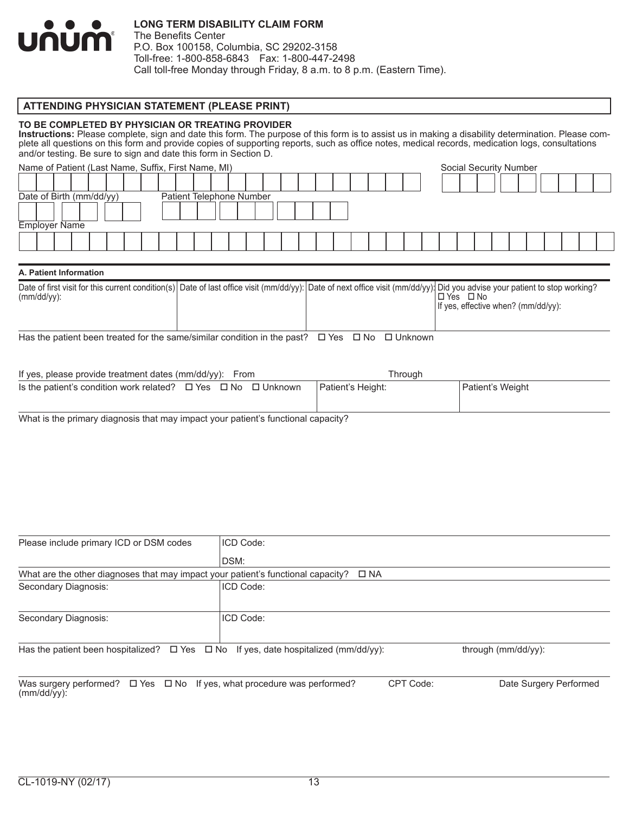

The Benefits Center P.O. Box 100158, Columbia, SC 29202-3158 Toll-free: 1-800-858-6843 Fax: 1-800-447-2498 Call toll-free Monday through Friday, 8 a.m. to 8 p.m. (Eastern Time).

#### **ATTENDING PHYSICIAN STATEMENT (PLEASE PRINT)**

#### **TO BE COMPLETED BY PHYSICIAN OR TREATING PROVIDER**

Instructions: Please complete, sign and date this form. The purpose of this form is to assist us in making a disability determination. Please complete all questions on this form and provide copies of supporting reports, such as office notes, medical records, medication logs, consultations and/or testing. Be sure to sign and date this form in Section D.

| Name of Patient (Last Name, Suffix, First Name, MI) |  |                                                      |  |  |  |  |  |  |  |  |  |  |  |  |  |  |  |  |  |  |  | Social Security Number |  |  |  |
|-----------------------------------------------------|--|------------------------------------------------------|--|--|--|--|--|--|--|--|--|--|--|--|--|--|--|--|--|--|--|------------------------|--|--|--|
|                                                     |  |                                                      |  |  |  |  |  |  |  |  |  |  |  |  |  |  |  |  |  |  |  |                        |  |  |  |
|                                                     |  | Date of Birth (mm/dd/yy)<br>Patient Telephone Number |  |  |  |  |  |  |  |  |  |  |  |  |  |  |  |  |  |  |  |                        |  |  |  |
|                                                     |  |                                                      |  |  |  |  |  |  |  |  |  |  |  |  |  |  |  |  |  |  |  |                        |  |  |  |
| <b>Employer Name</b>                                |  |                                                      |  |  |  |  |  |  |  |  |  |  |  |  |  |  |  |  |  |  |  |                        |  |  |  |
|                                                     |  |                                                      |  |  |  |  |  |  |  |  |  |  |  |  |  |  |  |  |  |  |  |                        |  |  |  |
|                                                     |  |                                                      |  |  |  |  |  |  |  |  |  |  |  |  |  |  |  |  |  |  |  |                        |  |  |  |

#### **A. Patient Information**

|                |  | Date of first visit for this current condition(s) Date of last office visit (mm/dd/yy): Date of next office visit (mm/dd/yy): Did you advise your patient to stop working? |
|----------------|--|----------------------------------------------------------------------------------------------------------------------------------------------------------------------------|
| $(mm/dd/vv)$ : |  | ∟ No<br>$\Box$ Yes                                                                                                                                                         |
|                |  | If yes, effective when? (mm/dd/yy):                                                                                                                                        |
|                |  |                                                                                                                                                                            |
|                |  |                                                                                                                                                                            |

Has the patient been treated for the same/similar condition in the past?  $\Box$  Yes  $\Box$  No  $\Box$  Unknown

| If yes, please provide treatment dates (mm/dd/yy): From                      |  | Throuah           |                    |
|------------------------------------------------------------------------------|--|-------------------|--------------------|
| Is the patient's condition work related? $\Box$ Yes $\Box$ No $\Box$ Unknown |  | Patient's Height: | l Patient's Weight |

What is the primary diagnosis that may impact your patient's functional capacity?

| Please include primary ICD or DSM codes                                                             | ICD Code:           |                        |  |  |  |  |  |  |
|-----------------------------------------------------------------------------------------------------|---------------------|------------------------|--|--|--|--|--|--|
|                                                                                                     | DSM:                |                        |  |  |  |  |  |  |
| What are the other diagnoses that may impact your patient's functional capacity?                    | $\Box$ NA           |                        |  |  |  |  |  |  |
| Secondary Diagnosis:                                                                                | ICD Code:           |                        |  |  |  |  |  |  |
|                                                                                                     |                     |                        |  |  |  |  |  |  |
| Secondary Diagnosis:                                                                                | ICD Code:           |                        |  |  |  |  |  |  |
| Has the patient been hospitalized? $\Box$ Yes $\Box$ No If yes, date hospitalized (mm/dd/yy):       | through (mm/dd/yy): |                        |  |  |  |  |  |  |
| Was surgery performed? $\Box$ Yes $\Box$ No If yes, what procedure was performed?<br>$(mm/dd/vv)$ : | CPT Code:           | Date Surgery Performed |  |  |  |  |  |  |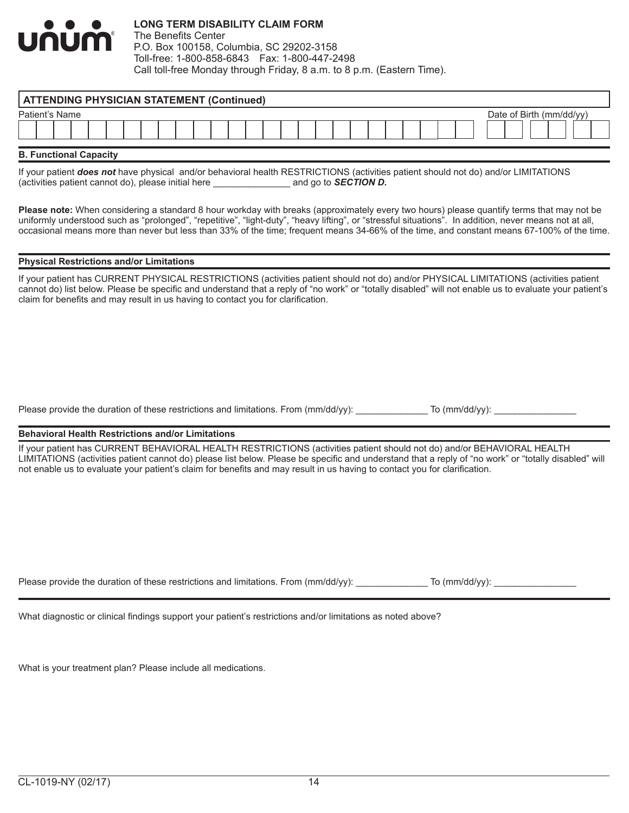

|                | <b>ATTENDING PHYSICIAN STATEMENT (Continued)</b> |  |  |  |  |  |  |  |  |  |  |  |                         |  |  |  |  |  |  |  |  |  |  |  |  |
|----------------|--------------------------------------------------|--|--|--|--|--|--|--|--|--|--|--|-------------------------|--|--|--|--|--|--|--|--|--|--|--|--|
| Patient's Name |                                                  |  |  |  |  |  |  |  |  |  |  |  | Date of Birth (mm/dd/vv |  |  |  |  |  |  |  |  |  |  |  |  |
|                |                                                  |  |  |  |  |  |  |  |  |  |  |  |                         |  |  |  |  |  |  |  |  |  |  |  |  |
|                |                                                  |  |  |  |  |  |  |  |  |  |  |  |                         |  |  |  |  |  |  |  |  |  |  |  |  |

**B. Functional Capacity**

If your patient *does not* have physical and/or behavioral health RESTRICTIONS (activities patient should not do) and/or LIMITATIONS (activities patient cannot do), please initial here \_\_\_\_\_\_\_\_\_\_\_\_\_\_\_ and go to *SECTION D.*

**Please note:** When considering a standard 8 hour workday with breaks (approximately every two hours) please quantify terms that may not be uniformly understood such as "prolonged", "repetitive", "light-duty", "heavy lifting", or "stressful situations". In addition, never means not at all, occasional means more than never but less than 33% of the time; frequent means 34-66% of the time, and constant means 67-100% of the time.

#### **Physical Restrictions and/or Limitations**

If your patient has CURRENT PHYSICAL RESTRICTIONS (activities patient should not do) and/or PHYSICAL LIMITATIONS (activities patient cannot do) list below. Please be specific and understand that a reply of "no work" or "totally disabled" will not enable us to evaluate your patient's claim for benefits and may result in us having to contact you for clarification.

Please provide the duration of these restrictions and limitations. From (mm/dd/yy): \_\_\_\_\_\_\_\_\_\_\_\_ To (mm/dd/yy):

#### **Behavioral Health Restrictions and/or Limitations**

If your patient has CURRENT BEHAVIORAL HEALTH RESTRICTIONS (activities patient should not do) and/or BEHAVIORAL HEALTH LIMITATIONS (activities patient cannot do) please list below. Please be specific and understand that a reply of "no work" or "totally disabled" will not enable us to evaluate your patient's claim for benefits and may result in us having to contact you for clarification.

Please provide the duration of these restrictions and limitations. From (mm/dd/yy): \_\_\_\_\_\_\_\_\_\_\_\_\_\_\_ To (mm/dd/yy): \_\_\_\_\_\_\_\_\_\_\_\_\_\_\_\_\_\_\_\_

What diagnostic or clinical findings support your patient's restrictions and/or limitations as noted above?

What is your treatment plan? Please include all medications.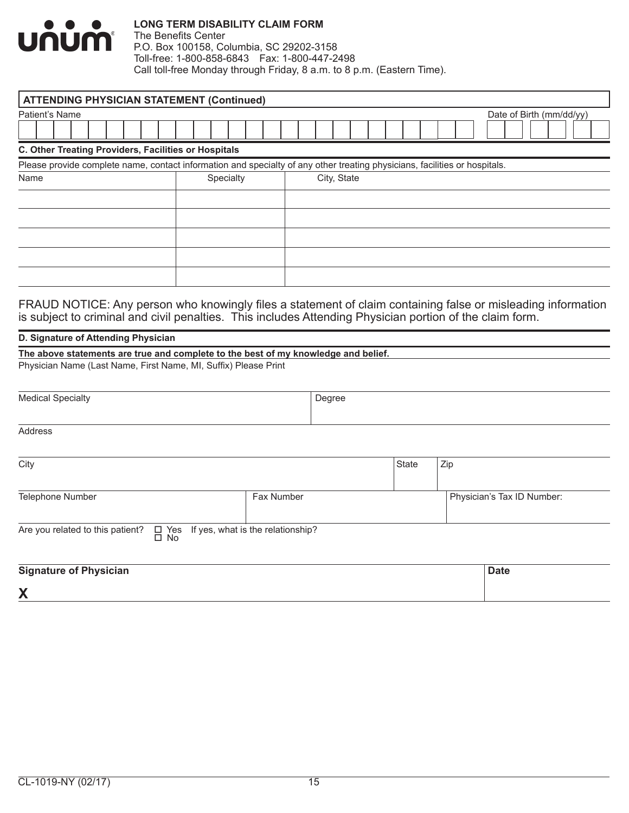

The Benefits Center P.O. Box 100158, Columbia, SC 29202-3158 Toll-free: 1-800-858-6843 Fax: 1-800-447-2498 Call toll-free Monday through Friday, 8 a.m. to 8 p.m. (Eastern Time).

| <b>ATTENDING PHYSICIAN STATEMENT (Continued)</b>     |                          |                                                                                                                            |  |  |  |  |  |  |  |  |  |
|------------------------------------------------------|--------------------------|----------------------------------------------------------------------------------------------------------------------------|--|--|--|--|--|--|--|--|--|
| Patient's Name                                       | Date of Birth (mm/dd/yy) |                                                                                                                            |  |  |  |  |  |  |  |  |  |
|                                                      |                          |                                                                                                                            |  |  |  |  |  |  |  |  |  |
| C. Other Treating Providers, Facilities or Hospitals |                          |                                                                                                                            |  |  |  |  |  |  |  |  |  |
|                                                      |                          | Please provide complete name, contact information and specialty of any other treating physicians, facilities or hospitals. |  |  |  |  |  |  |  |  |  |
| Name                                                 | Specialty                | City, State                                                                                                                |  |  |  |  |  |  |  |  |  |
|                                                      |                          |                                                                                                                            |  |  |  |  |  |  |  |  |  |
|                                                      |                          |                                                                                                                            |  |  |  |  |  |  |  |  |  |
|                                                      |                          |                                                                                                                            |  |  |  |  |  |  |  |  |  |
|                                                      |                          |                                                                                                                            |  |  |  |  |  |  |  |  |  |
|                                                      |                          |                                                                                                                            |  |  |  |  |  |  |  |  |  |
|                                                      |                          |                                                                                                                            |  |  |  |  |  |  |  |  |  |

FRAUD NOTICE: Any person who knowingly files a statement of claim containing false or misleading information is subject to criminal and civil penalties. This includes Attending Physician portion of the claim form.

#### **D. Signature of Attending Physician**

| The above statements are true and complete to the best of my knowledge and belief. |  |
|------------------------------------------------------------------------------------|--|
| Physician Name (Last Name, First Name, MI, Suffix) Please Print                    |  |

| <b>Medical Specialty</b>                                                                   | Degree     |       |                            |  |
|--------------------------------------------------------------------------------------------|------------|-------|----------------------------|--|
|                                                                                            |            |       |                            |  |
| Address                                                                                    |            |       |                            |  |
|                                                                                            |            |       |                            |  |
| City                                                                                       |            | State | Zip                        |  |
|                                                                                            |            |       |                            |  |
| Telephone Number                                                                           | Fax Number |       | Physician's Tax ID Number: |  |
|                                                                                            |            |       |                            |  |
| Are you related to this patient?<br>$\Box$ Yes If yes, what is the relationship? $\Box$ No |            |       |                            |  |
|                                                                                            |            |       |                            |  |
| <b>Signature of Physician</b>                                                              |            |       | <b>Date</b>                |  |